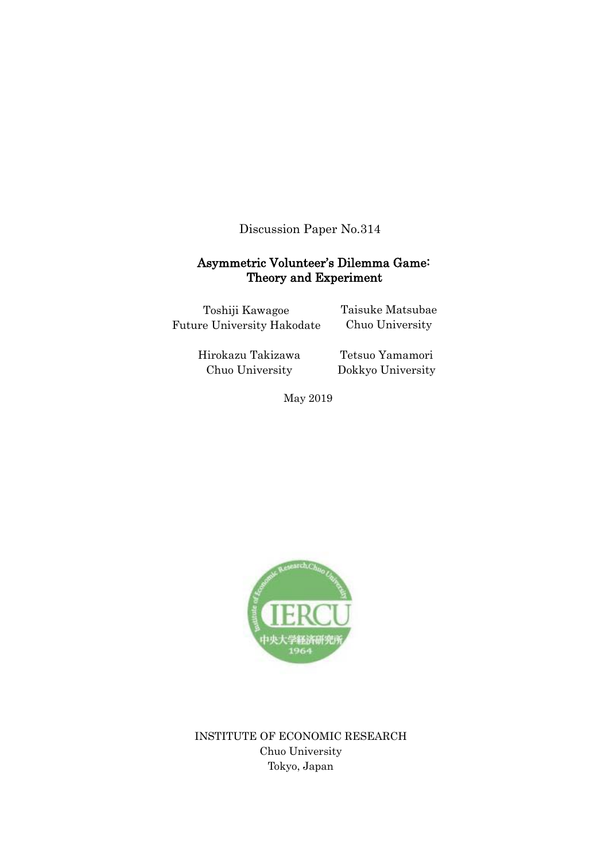Discussion Paper No.314

# Asymmetric Volunteer's Dilemma Game: Theory and Experiment

Toshiji Kawagoe Future University Hakodate Taisuke Matsubae Chuo University

Hirokazu Takizawa Chuo University

Tetsuo Yamamori Dokkyo University

May 2019



INSTITUTE OF ECONOMIC RESEARCH Chuo University Tokyo, Japan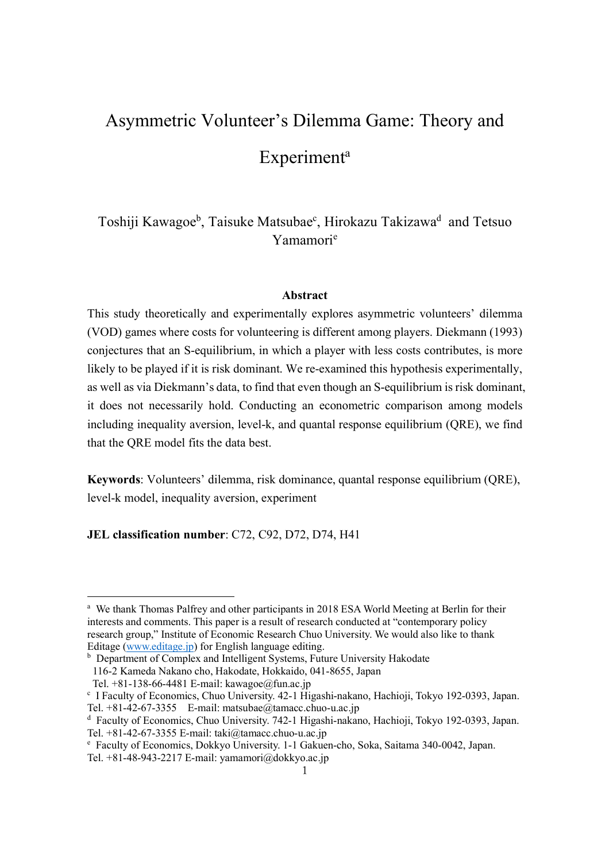# Asymmetric Volunteer's Dilemma Game: Theory and **Experiment**<sup>a</sup>

Toshiji Kawagoe<sup>b</sup>, Taisuke Matsubae<sup>c</sup>, Hirokazu Takizawa<sup>d</sup> and Tetsuo Yamamorie

#### **Abstract**

This study theoretically and experimentally explores asymmetric volunteers' dilemma (VOD) games where costs for volunteering is different among players. Diekmann (1993) conjectures that an S-equilibrium, in which a player with less costs contributes, is more likely to be played if it is risk dominant. We re-examined this hypothesis experimentally, as well as via Diekmann's data, to find that even though an S-equilibrium is risk dominant, it does not necessarily hold. Conducting an econometric comparison among models including inequality aversion, level-k, and quantal response equilibrium (QRE), we find that the QRE model fits the data best.

**Keywords**: Volunteers' dilemma, risk dominance, quantal response equilibrium (QRE), level-k model, inequality aversion, experiment

**JEL classification number**: C72, C92, D72, D74, H41

l

<sup>&</sup>lt;sup>a</sup> We thank Thomas Palfrey and other participants in 2018 ESA World Meeting at Berlin for their interests and comments. This paper is a result of research conducted at "contemporary policy research group," Institute of Economic Research Chuo University. We would also like to thank Editage (www.editage.jp) for English language editing.

**b** Department of Complex and Intelligent Systems, Future University Hakodate 116-2 Kameda Nakano cho, Hakodate, Hokkaido, 041-8655, Japan

Tel.  $+81-138-66-4481$  E-mail: kawagoe@fun.ac.jp

<sup>c</sup> I Faculty of Economics, Chuo University. 42-1 Higashi-nakano, Hachioji, Tokyo 192-0393, Japan. Tel. +81-42-67-3355 E-mail: matsubae@tamacc.chuo-u.ac.jp

<sup>d</sup> Faculty of Economics, Chuo University. 742-1 Higashi-nakano, Hachioji, Tokyo 192-0393, Japan. Tel. +81-42-67-3355 E-mail: taki@tamacc.chuo-u.ac.jp

<sup>e</sup> Faculty of Economics, Dokkyo University. 1-1 Gakuen-cho, Soka, Saitama 340-0042, Japan. Tel. +81-48-943-2217 E-mail: yamamori@dokkyo.ac.jp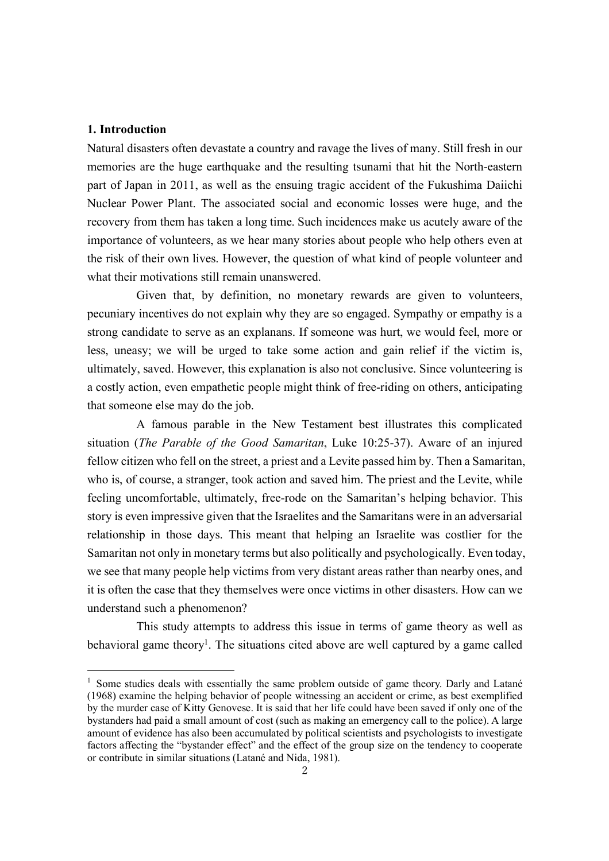#### **1. Introduction**

l

Natural disasters often devastate a country and ravage the lives of many. Still fresh in our memories are the huge earthquake and the resulting tsunami that hit the North-eastern part of Japan in 2011, as well as the ensuing tragic accident of the Fukushima Daiichi Nuclear Power Plant. The associated social and economic losses were huge, and the recovery from them has taken a long time. Such incidences make us acutely aware of the importance of volunteers, as we hear many stories about people who help others even at the risk of their own lives. However, the question of what kind of people volunteer and what their motivations still remain unanswered.

Given that, by definition, no monetary rewards are given to volunteers, pecuniary incentives do not explain why they are so engaged. Sympathy or empathy is a strong candidate to serve as an explanans. If someone was hurt, we would feel, more or less, uneasy; we will be urged to take some action and gain relief if the victim is, ultimately, saved. However, this explanation is also not conclusive. Since volunteering is a costly action, even empathetic people might think of free-riding on others, anticipating that someone else may do the job.

A famous parable in the New Testament best illustrates this complicated situation (*The Parable of the Good Samaritan*, Luke 10:25-37). Aware of an injured fellow citizen who fell on the street, a priest and a Levite passed him by. Then a Samaritan, who is, of course, a stranger, took action and saved him. The priest and the Levite, while feeling uncomfortable, ultimately, free-rode on the Samaritan's helping behavior. This story is even impressive given that the Israelites and the Samaritans were in an adversarial relationship in those days. This meant that helping an Israelite was costlier for the Samaritan not only in monetary terms but also politically and psychologically. Even today, we see that many people help victims from very distant areas rather than nearby ones, and it is often the case that they themselves were once victims in other disasters. How can we understand such a phenomenon?

This study attempts to address this issue in terms of game theory as well as behavioral game theory<sup>1</sup>. The situations cited above are well captured by a game called

<sup>&</sup>lt;sup>1</sup> Some studies deals with essentially the same problem outside of game theory. Darly and Latané (1968) examine the helping behavior of people witnessing an accident or crime, as best exemplified by the murder case of Kitty Genovese. It is said that her life could have been saved if only one of the bystanders had paid a small amount of cost (such as making an emergency call to the police). A large amount of evidence has also been accumulated by political scientists and psychologists to investigate factors affecting the "bystander effect" and the effect of the group size on the tendency to cooperate or contribute in similar situations (Latané and Nida, 1981).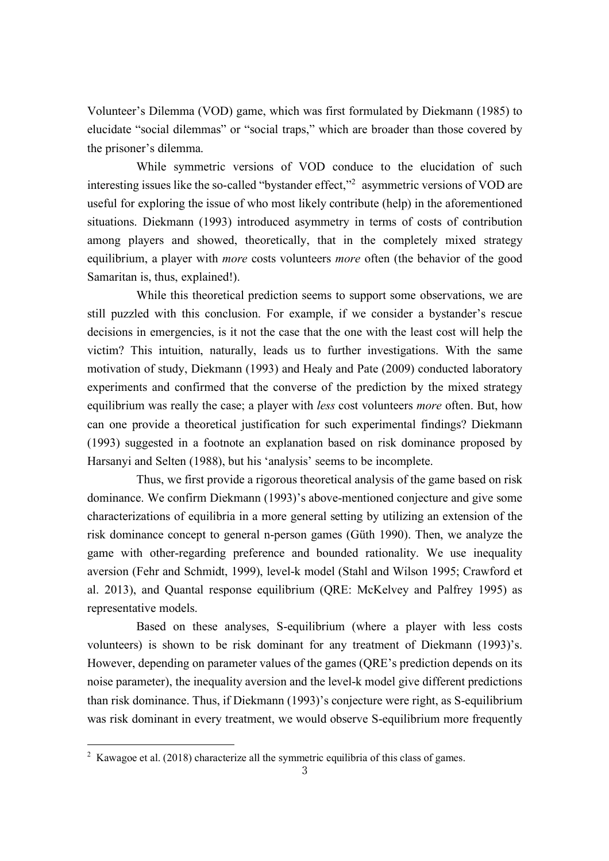Volunteer's Dilemma (VOD) game, which was first formulated by Diekmann (1985) to elucidate "social dilemmas" or "social traps," which are broader than those covered by the prisoner's dilemma.

While symmetric versions of VOD conduce to the elucidation of such interesting issues like the so-called "bystander effect,"2 asymmetric versions of VOD are useful for exploring the issue of who most likely contribute (help) in the aforementioned situations. Diekmann (1993) introduced asymmetry in terms of costs of contribution among players and showed, theoretically, that in the completely mixed strategy equilibrium, a player with *more* costs volunteers *more* often (the behavior of the good Samaritan is, thus, explained!).

While this theoretical prediction seems to support some observations, we are still puzzled with this conclusion. For example, if we consider a bystander's rescue decisions in emergencies, is it not the case that the one with the least cost will help the victim? This intuition, naturally, leads us to further investigations. With the same motivation of study, Diekmann (1993) and Healy and Pate (2009) conducted laboratory experiments and confirmed that the converse of the prediction by the mixed strategy equilibrium was really the case; a player with *less* cost volunteers *more* often. But, how can one provide a theoretical justification for such experimental findings? Diekmann (1993) suggested in a footnote an explanation based on risk dominance proposed by Harsanyi and Selten (1988), but his 'analysis' seems to be incomplete.

Thus, we first provide a rigorous theoretical analysis of the game based on risk dominance. We confirm Diekmann (1993)'s above-mentioned conjecture and give some characterizations of equilibria in a more general setting by utilizing an extension of the risk dominance concept to general n-person games (Güth 1990). Then, we analyze the game with other-regarding preference and bounded rationality. We use inequality aversion (Fehr and Schmidt, 1999), level-k model (Stahl and Wilson 1995; Crawford et al. 2013), and Quantal response equilibrium (QRE: McKelvey and Palfrey 1995) as representative models.

Based on these analyses, S-equilibrium (where a player with less costs volunteers) is shown to be risk dominant for any treatment of Diekmann (1993)'s. However, depending on parameter values of the games (QRE's prediction depends on its noise parameter), the inequality aversion and the level-k model give different predictions than risk dominance. Thus, if Diekmann (1993)'s conjecture were right, as S-equilibrium was risk dominant in every treatment, we would observe S-equilibrium more frequently

 $\overline{a}$ 

<sup>&</sup>lt;sup>2</sup> Kawagoe et al. (2018) characterize all the symmetric equilibria of this class of games.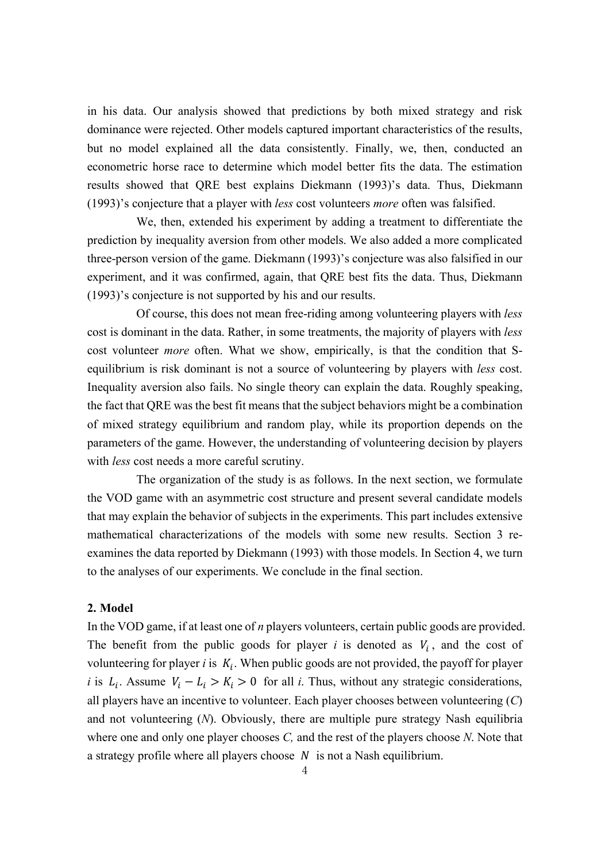in his data. Our analysis showed that predictions by both mixed strategy and risk dominance were rejected. Other models captured important characteristics of the results, but no model explained all the data consistently. Finally, we, then, conducted an econometric horse race to determine which model better fits the data. The estimation results showed that QRE best explains Diekmann (1993)'s data. Thus, Diekmann (1993)'s conjecture that a player with *less* cost volunteers *more* often was falsified.

We, then, extended his experiment by adding a treatment to differentiate the prediction by inequality aversion from other models. We also added a more complicated three-person version of the game. Diekmann (1993)'s conjecture was also falsified in our experiment, and it was confirmed, again, that QRE best fits the data. Thus, Diekmann (1993)'s conjecture is not supported by his and our results.

Of course, this does not mean free-riding among volunteering players with *less* cost is dominant in the data. Rather, in some treatments, the majority of players with *less* cost volunteer *more* often. What we show, empirically, is that the condition that Sequilibrium is risk dominant is not a source of volunteering by players with *less* cost. Inequality aversion also fails. No single theory can explain the data. Roughly speaking, the fact that QRE was the best fit means that the subject behaviors might be a combination of mixed strategy equilibrium and random play, while its proportion depends on the parameters of the game. However, the understanding of volunteering decision by players with *less* cost needs a more careful scrutiny.

The organization of the study is as follows. In the next section, we formulate the VOD game with an asymmetric cost structure and present several candidate models that may explain the behavior of subjects in the experiments. This part includes extensive mathematical characterizations of the models with some new results. Section 3 reexamines the data reported by Diekmann (1993) with those models. In Section 4, we turn to the analyses of our experiments. We conclude in the final section.

#### **2. Model**

In the VOD game, if at least one of *n* players volunteers, certain public goods are provided. The benefit from the public goods for player *i* is denoted as  $V_i$ , and the cost of volunteering for player *i* is  $K_i$ . When public goods are not provided, the payoff for player *i* is  $L_i$ . Assume  $V_i - L_i > K_i > 0$  for all *i*. Thus, without any strategic considerations, all players have an incentive to volunteer. Each player chooses between volunteering (*C*) and not volunteering (*N*). Obviously, there are multiple pure strategy Nash equilibria where one and only one player chooses *C,* and the rest of the players choose *N*. Note that a strategy profile where all players choose  $N$  is not a Nash equilibrium.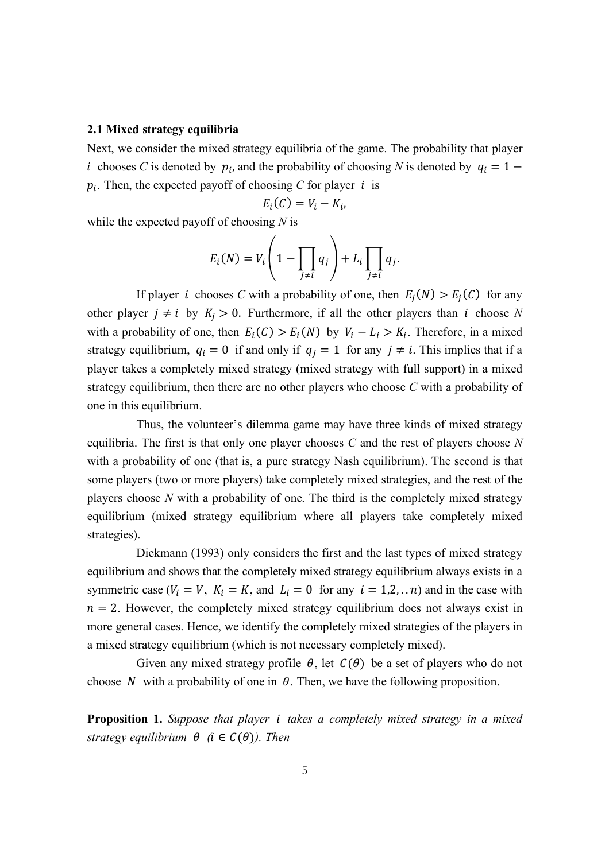#### **2.1 Mixed strategy equilibria**

Next, we consider the mixed strategy equilibria of the game. The probability that player *i* chooses *C* is denoted by  $p_i$ , and the probability of choosing *N* is denoted by  $q_i = 1$  $p_i$ . Then, the expected payoff of choosing *C* for player *i* is

$$
E_i(C) = V_i - K_i,
$$

while the expected payoff of choosing *N* is

$$
E_i(N) = V_i\left(1 - \prod_{j \neq i} q_j\right) + L_i \prod_{j \neq i} q_j.
$$

If player *i* chooses *C* with a probability of one, then  $E_i(N) > E_i(C)$  for any other player  $j \neq i$  by  $K_j > 0$ . Furthermore, if all the other players than i choose N with a probability of one, then  $E_i(C) > E_i(N)$  by  $V_i - L_i > K_i$ . Therefore, in a mixed strategy equilibrium,  $q_i = 0$  if and only if  $q_j = 1$  for any  $j \neq i$ . This implies that if a player takes a completely mixed strategy (mixed strategy with full support) in a mixed strategy equilibrium, then there are no other players who choose *C* with a probability of one in this equilibrium.

Thus, the volunteer's dilemma game may have three kinds of mixed strategy equilibria. The first is that only one player chooses *C* and the rest of players choose *N* with a probability of one (that is, a pure strategy Nash equilibrium). The second is that some players (two or more players) take completely mixed strategies, and the rest of the players choose *N* with a probability of one. The third is the completely mixed strategy equilibrium (mixed strategy equilibrium where all players take completely mixed strategies).

Diekmann (1993) only considers the first and the last types of mixed strategy equilibrium and shows that the completely mixed strategy equilibrium always exists in a symmetric case  $(V_i = V, K_i = K,$  and  $L_i = 0$  for any  $i = 1,2,... n$  and in the case with  $n = 2$ . However, the completely mixed strategy equilibrium does not always exist in more general cases. Hence, we identify the completely mixed strategies of the players in a mixed strategy equilibrium (which is not necessary completely mixed).

Given any mixed strategy profile  $\theta$ , let  $C(\theta)$  be a set of players who do not choose N with a probability of one in  $\theta$ . Then, we have the following proposition.

**Proposition 1.** *Suppose that player takes a completely mixed strategy in a mixed strategy equilibrium*  $\theta$  (*i*  $\in C(\theta)$ *). Then*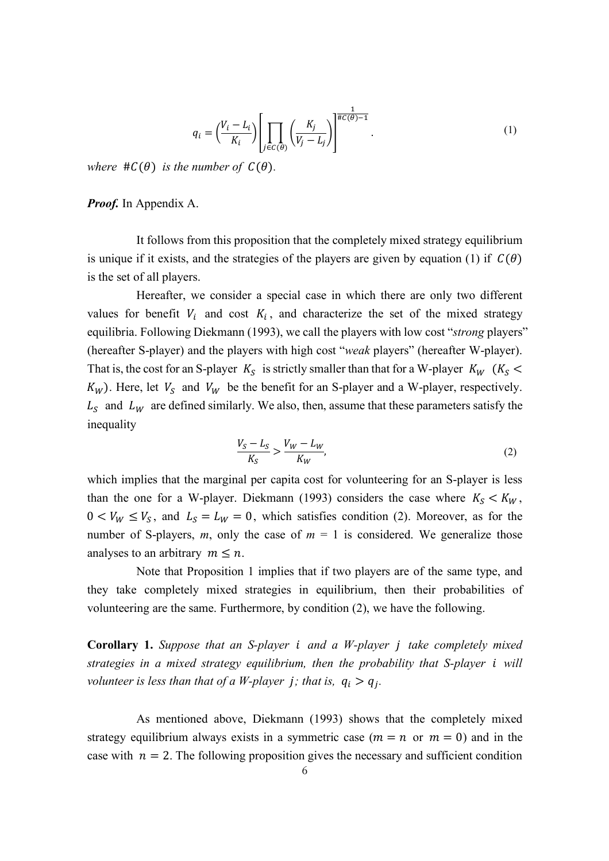$$
q_i = \left(\frac{V_i - L_i}{K_i}\right) \left[ \prod_{j \in C(\theta)} \left(\frac{K_j}{V_j - L_j}\right) \right]^{\frac{1}{\#C(\theta)-1}}.
$$
\n(1)

*where*  $\#C(\theta)$  *is the number of*  $C(\theta)$ *.* 

#### *Proof.* In Appendix A.

It follows from this proposition that the completely mixed strategy equilibrium is unique if it exists, and the strategies of the players are given by equation (1) if  $C(\theta)$ is the set of all players.

Hereafter, we consider a special case in which there are only two different values for benefit  $V_i$  and cost  $K_i$ , and characterize the set of the mixed strategy equilibria. Following Diekmann (1993), we call the players with low cost "*strong* players" (hereafter S-player) and the players with high cost "*weak* players" (hereafter W-player). That is, the cost for an S-player  $K_S$  is strictly smaller than that for a W-player  $K_W$  ( $K_S$  <  $K_W$ ). Here, let  $V_S$  and  $V_W$  be the benefit for an S-player and a W-player, respectively.  $L<sub>S</sub>$  and  $L<sub>W</sub>$  are defined similarly. We also, then, assume that these parameters satisfy the inequality

$$
\frac{V_S - L_S}{K_S} > \frac{V_W - L_W}{K_W},\tag{2}
$$

which implies that the marginal per capita cost for volunteering for an S-player is less than the one for a W-player. Diekmann (1993) considers the case where  $K_S < K_W$ ,  $0 < V_W \leq V_S$ , and  $L_S = L_W = 0$ , which satisfies condition (2). Moreover, as for the number of S-players,  $m$ , only the case of  $m = 1$  is considered. We generalize those analyses to an arbitrary  $m \leq n$ .

Note that Proposition 1 implies that if two players are of the same type, and they take completely mixed strategies in equilibrium, then their probabilities of volunteering are the same. Furthermore, by condition (2), we have the following.

**Corollary 1.** *Suppose that an S-player and a W-player take completely mixed strategies in a mixed strategy equilibrium, then the probability that S-player will volunteer is less than that of a W-player j; that is,*  $q_i > q_j$ .

As mentioned above, Diekmann (1993) shows that the completely mixed strategy equilibrium always exists in a symmetric case  $(m = n \text{ or } m = 0)$  and in the case with  $n = 2$ . The following proposition gives the necessary and sufficient condition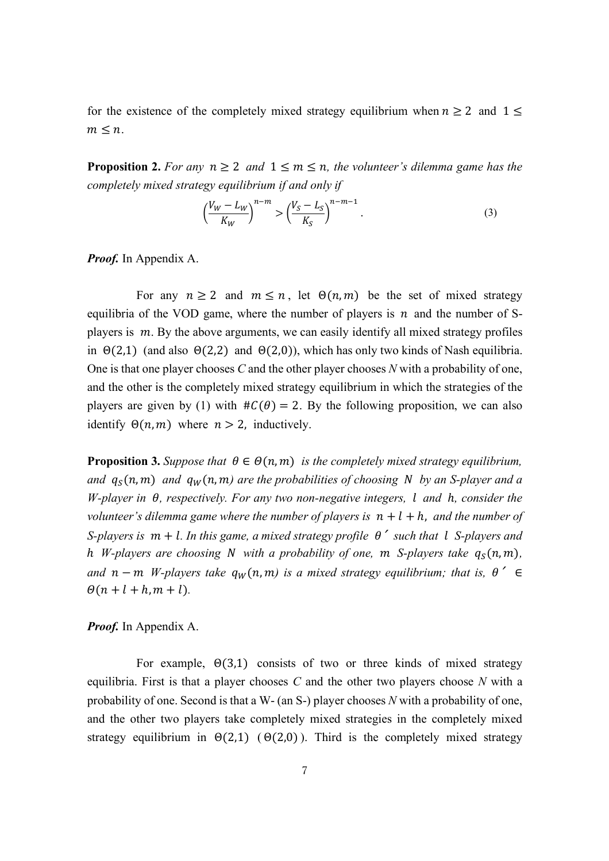for the existence of the completely mixed strategy equilibrium when  $n \ge 2$  and  $1 \le$  $m \leq n$ .

**Proposition 2.** For any  $n \geq 2$  and  $1 \leq m \leq n$ , the volunteer's dilemma game has the *completely mixed strategy equilibrium if and only if*

$$
\left(\frac{V_W - L_W}{K_W}\right)^{n-m} > \left(\frac{V_S - L_S}{K_S}\right)^{n-m-1}.\tag{3}
$$

*Proof.* In Appendix A.

For any  $n \ge 2$  and  $m \le n$ , let  $\Theta(n, m)$  be the set of mixed strategy equilibria of the VOD game, where the number of players is  $n$  and the number of Splayers is  $m$ . By the above arguments, we can easily identify all mixed strategy profiles in  $\Theta(2,1)$  (and also  $\Theta(2,2)$  and  $\Theta(2,0)$ ), which has only two kinds of Nash equilibria. One is that one player chooses *C* and the other player chooses *N* with a probability of one, and the other is the completely mixed strategy equilibrium in which the strategies of the players are given by (1) with  $\#C(\theta) = 2$ . By the following proposition, we can also identify  $\Theta(n, m)$  where  $n > 2$ , inductively.

**Proposition 3.** Suppose that  $\theta \in \Theta(n, m)$  is the completely mixed strategy equilibrium, and  $q_S(n, m)$  and  $q_W(n, m)$  are the probabilities of choosing N by an S-player and a *W-player in , respectively. For any two non-negative integers, and* ℎ*, consider the volunteer's dilemma game where the number of players is*  $n + l + h$ , and the number of *S-players is*  $m + l$ . In this game, a mixed strategy profile  $\theta'$  such that l S-players and h *W*-players are choosing *N* with a probability of one, m *S*-players take  $q_s(n, m)$ , *and*  $n - m$  *W-players take*  $q_w(n, m)$  *is a mixed strategy equilibrium; that is,*  $\theta' \in$  $\Theta(n + l + h, m + l)$ .

*Proof.* In Appendix A.

For example,  $\Theta(3,1)$  consists of two or three kinds of mixed strategy equilibria. First is that a player chooses *C* and the other two players choose *N* with a probability of one. Second is that a W- (an S-) player chooses *N* with a probability of one, and the other two players take completely mixed strategies in the completely mixed strategy equilibrium in  $\Theta(2,1)$  ( $\Theta(2,0)$ ). Third is the completely mixed strategy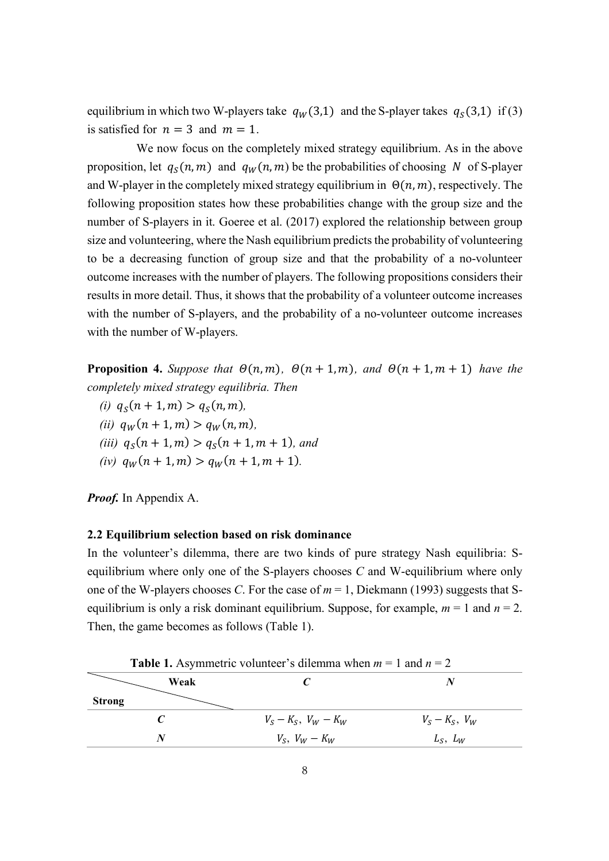equilibrium in which two W-players take  $q_W(3,1)$  and the S-player takes  $q_S(3,1)$  if (3) is satisfied for  $n = 3$  and  $m = 1$ .

We now focus on the completely mixed strategy equilibrium. As in the above proposition, let  $q_S(n, m)$  and  $q_W(n, m)$  be the probabilities of choosing N of S-player and W-player in the completely mixed strategy equilibrium in  $\Theta(n, m)$ , respectively. The following proposition states how these probabilities change with the group size and the number of S-players in it. Goeree et al. (2017) explored the relationship between group size and volunteering, where the Nash equilibrium predicts the probability of volunteering to be a decreasing function of group size and that the probability of a no-volunteer outcome increases with the number of players. The following propositions considers their results in more detail. Thus, it shows that the probability of a volunteer outcome increases with the number of S-players, and the probability of a no-volunteer outcome increases with the number of W-players.

**Proposition 4.** Suppose that  $\Theta(n, m)$ ,  $\Theta(n + 1, m)$ , and  $\Theta(n + 1, m + 1)$  have the *completely mixed strategy equilibria. Then* 

*(i)*  $q_S(n + 1, m) > q_S(n, m)$ , *(ii)*  $q_W(n + 1, m) > q_W(n, m)$ , *(iii)*  $q_S(n + 1, m) > q_S(n + 1, m + 1)$ *, and (iv)*  $q_W(n + 1, m) > q_W(n + 1, m + 1)$ .

*Proof.* In Appendix A.

# **2.2 Equilibrium selection based on risk dominance**

In the volunteer's dilemma, there are two kinds of pure strategy Nash equilibria: Sequilibrium where only one of the S-players chooses *C* and W-equilibrium where only one of the W-players chooses *C*. For the case of  $m = 1$ , Diekmann (1993) suggests that Sequilibrium is only a risk dominant equilibrium. Suppose, for example,  $m = 1$  and  $n = 2$ . Then, the game becomes as follows (Table 1).

| <b>Table 1.</b> Asymmetric volunteer's dilemma when $m = 1$ and $n = 2$ |                                   |                     |  |  |  |  |  |  |  |
|-------------------------------------------------------------------------|-----------------------------------|---------------------|--|--|--|--|--|--|--|
| Weak                                                                    |                                   |                     |  |  |  |  |  |  |  |
| <b>Strong</b>                                                           |                                   |                     |  |  |  |  |  |  |  |
|                                                                         | $V_{S} - K_{S}$ , $V_{W} - K_{W}$ | $V_S - K_S$ , $V_W$ |  |  |  |  |  |  |  |
| N                                                                       | $V_S$ , $V_W - K_W$               | $L_S$ , $L_W$       |  |  |  |  |  |  |  |

**Table 1.** Asymmetric volunteer's dilemma when *m* = 1 and *n* = 2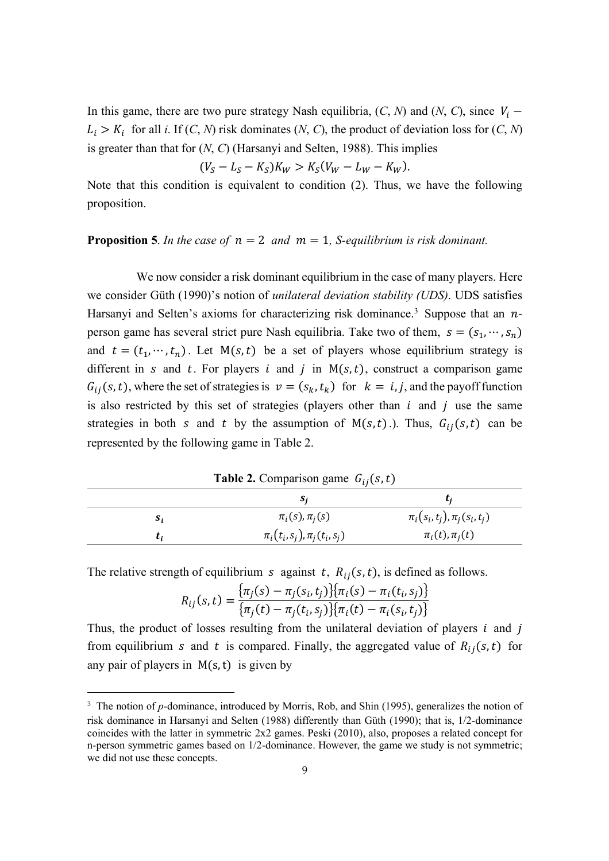In this game, there are two pure strategy Nash equilibria,  $(C, N)$  and  $(N, C)$ , since  $V_i$  –  $L_i > K_i$  for all *i*. If  $(C, N)$  risk dominates  $(N, C)$ , the product of deviation loss for  $(C, N)$ is greater than that for (*N*, *C*) (Harsanyi and Selten, 1988). This implies

$$
(V_S - L_S - K_S)K_W > K_S(V_W - L_W - K_W).
$$

Note that this condition is equivalent to condition (2). Thus, we have the following proposition.

#### **Proposition 5**. In the case of  $n = 2$  and  $m = 1$ , S-equilibrium is risk dominant.

We now consider a risk dominant equilibrium in the case of many players. Here we consider Güth (1990)'s notion of *unilateral deviation stability (UDS)*. UDS satisfies Harsanyi and Selten's axioms for characterizing risk dominance.<sup>3</sup> Suppose that an  $n$ person game has several strict pure Nash equilibria. Take two of them,  $s = (s_1, \dots, s_n)$ and  $t = (t_1, \dots, t_n)$ . Let M(s, t) be a set of players whose equilibrium strategy is different in s and t. For players i and j in  $M(s, t)$ , construct a comparison game  $G_{ij}(s,t)$ , where the set of strategies is  $v = (s_k, t_k)$  for  $k = i, j$ , and the payoff function is also restricted by this set of strategies (players other than  $i$  and  $j$  use the same strategies in both *s* and *t* by the assumption of  $M(s,t)$ .). Thus,  $G_{ij}(s,t)$  can be represented by the following game in Table 2.

**Table 2.** Comparison game  $G_{ij}(s,t)$ 

|    | S;                                 |                                  |
|----|------------------------------------|----------------------------------|
| S. | $\pi_i(s), \pi_i(s)$               | $\pi_i(s_i,t_j), \pi_j(s_i,t_j)$ |
| ι. | $\pi_i(t_i, s_j), \pi_i(t_i, s_j)$ | $\pi_i(t), \pi_i(t)$             |

The relative strength of equilibrium *s* against *t*,  $R_{ij}(s, t)$ , is defined as follows.

 $\overline{a}$ 

$$
R_{ij}(s,t) = \frac{\{\pi_j(s) - \pi_j(s_i, t_j)\}\{\pi_i(s) - \pi_i(t_i, s_j)\}}{\{\pi_j(t) - \pi_j(t_i, s_j)\}\{\pi_i(t) - \pi_i(s_i, t_j)\}}
$$

Thus, the product of losses resulting from the unilateral deviation of players  $i$  and  $j$ from equilibrium *s* and *t* is compared. Finally, the aggregated value of  $R_{ij}(s,t)$  for any pair of players in  $M(s, t)$  is given by

<sup>&</sup>lt;sup>3</sup> The notion of *p*-dominance, introduced by Morris, Rob, and Shin (1995), generalizes the notion of risk dominance in Harsanyi and Selten (1988) differently than Güth (1990); that is, 1/2-dominance coincides with the latter in symmetric 2x2 games. Peski (2010), also, proposes a related concept for n-person symmetric games based on 1/2-dominance. However, the game we study is not symmetric; we did not use these concepts.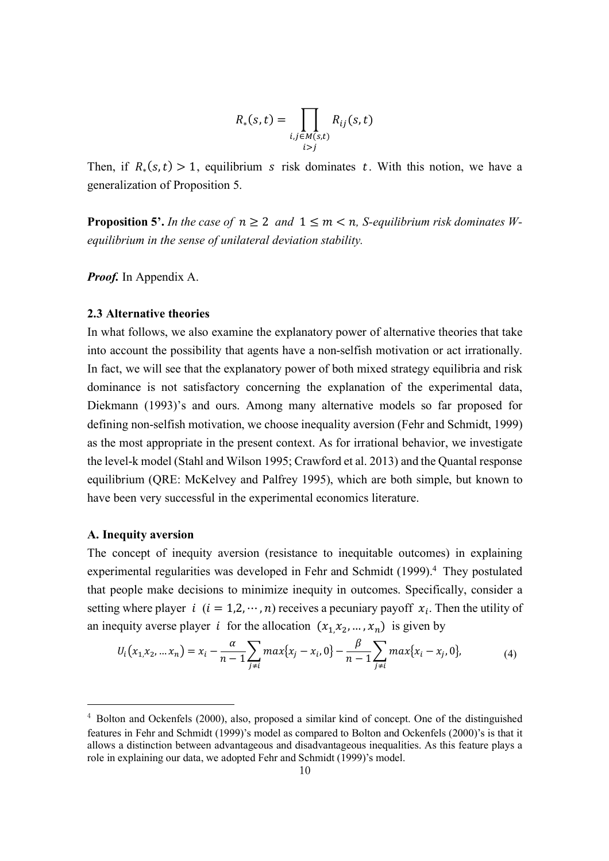$$
R_*(s,t) = \prod_{\substack{i,j \in M(s,t) \\ i>j}} R_{ij}(s,t)
$$

Then, if  $R_*(s,t) > 1$ , equilibrium s risk dominates t. With this notion, we have a generalization of Proposition 5.

**Proposition 5'.** In the case of  $n \geq 2$  and  $1 \leq m \leq n$ . S-equilibrium risk dominates W*equilibrium in the sense of unilateral deviation stability.*

*Proof.* In Appendix A.

#### **2.3 Alternative theories**

In what follows, we also examine the explanatory power of alternative theories that take into account the possibility that agents have a non-selfish motivation or act irrationally. In fact, we will see that the explanatory power of both mixed strategy equilibria and risk dominance is not satisfactory concerning the explanation of the experimental data, Diekmann (1993)'s and ours. Among many alternative models so far proposed for defining non-selfish motivation, we choose inequality aversion (Fehr and Schmidt, 1999) as the most appropriate in the present context. As for irrational behavior, we investigate the level-k model (Stahl and Wilson 1995; Crawford et al. 2013) and the Quantal response equilibrium (QRE: McKelvey and Palfrey 1995), which are both simple, but known to have been very successful in the experimental economics literature.

# **A. Inequity aversion**

 $\overline{a}$ 

The concept of inequity aversion (resistance to inequitable outcomes) in explaining experimental regularities was developed in Fehr and Schmidt (1999).<sup>4</sup> They postulated that people make decisions to minimize inequity in outcomes. Specifically, consider a setting where player  $i$  ( $i = 1, 2, \dots, n$ ) receives a pecuniary payoff  $x_i$ . Then the utility of an inequity averse player *i* for the allocation  $(x_1, x_2, ..., x_n)$  is given by

$$
U_i(x_1, x_2, \dots x_n) = x_i - \frac{\alpha}{n-1} \sum_{j \neq i} \max\{x_j - x_i, 0\} - \frac{\beta}{n-1} \sum_{j \neq i} \max\{x_i - x_j, 0\},\tag{4}
$$

<sup>4</sup> Bolton and Ockenfels (2000), also, proposed a similar kind of concept. One of the distinguished features in Fehr and Schmidt (1999)'s model as compared to Bolton and Ockenfels (2000)'s is that it allows a distinction between advantageous and disadvantageous inequalities. As this feature plays a role in explaining our data, we adopted Fehr and Schmidt (1999)'s model.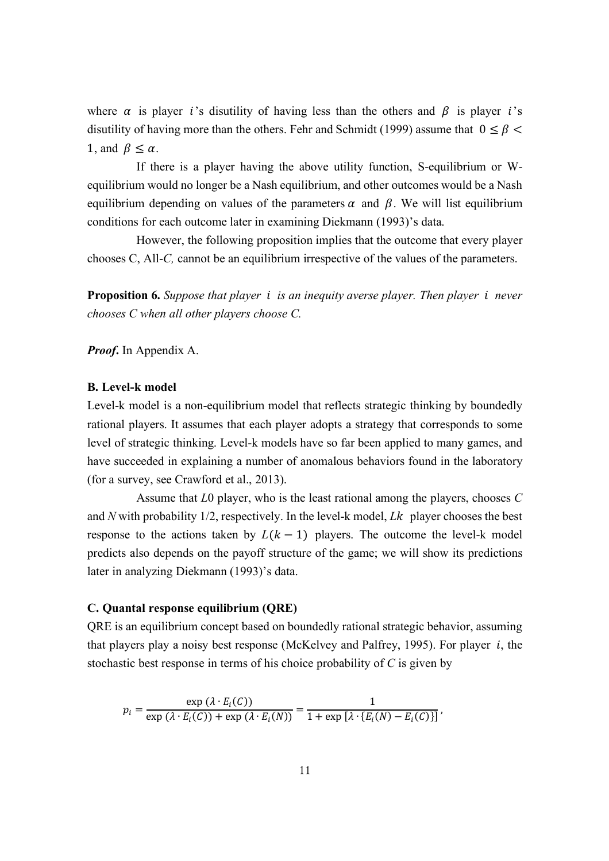where  $\alpha$  is player *i*'s disutility of having less than the others and  $\beta$  is player *i*'s disutility of having more than the others. Fehr and Schmidt (1999) assume that  $0 \leq \beta$ 1, and  $\beta \leq \alpha$ .

If there is a player having the above utility function, S-equilibrium or Wequilibrium would no longer be a Nash equilibrium, and other outcomes would be a Nash equilibrium depending on values of the parameters  $\alpha$  and  $\beta$ . We will list equilibrium conditions for each outcome later in examining Diekmann (1993)'s data.

However, the following proposition implies that the outcome that every player chooses C, All-*C,* cannot be an equilibrium irrespective of the values of the parameters.

**Proposition 6.** *Suppose that player is an inequity averse player. Then player never chooses C when all other players choose C.*

*Proof***.** In Appendix A.

#### **B. Level-k model**

Level-k model is a non-equilibrium model that reflects strategic thinking by boundedly rational players. It assumes that each player adopts a strategy that corresponds to some level of strategic thinking. Level-k models have so far been applied to many games, and have succeeded in explaining a number of anomalous behaviors found in the laboratory (for a survey, see Crawford et al., 2013).

Assume that *L*0 player, who is the least rational among the players, chooses *C* and N with probability  $1/2$ , respectively. In the level-k model, *Lk* player chooses the best response to the actions taken by  $L(k - 1)$  players. The outcome the level-k model predicts also depends on the payoff structure of the game; we will show its predictions later in analyzing Diekmann (1993)'s data.

#### **C. Quantal response equilibrium (QRE)**

QRE is an equilibrium concept based on boundedly rational strategic behavior, assuming that players play a noisy best response (McKelvey and Palfrey, 1995). For player  $i$ , the stochastic best response in terms of his choice probability of *C* is given by

$$
p_i = \frac{\exp(\lambda \cdot E_i(C))}{\exp(\lambda \cdot E_i(C)) + \exp(\lambda \cdot E_i(N))} = \frac{1}{1 + \exp[\lambda \cdot \{E_i(N) - E_i(C)\}]},
$$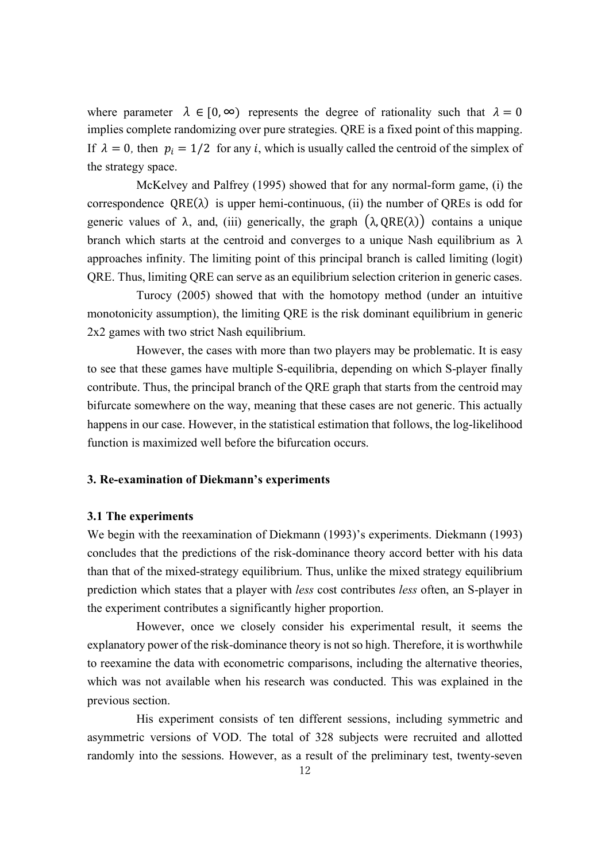where parameter  $\lambda \in [0, \infty)$  represents the degree of rationality such that  $\lambda = 0$ implies complete randomizing over pure strategies. QRE is a fixed point of this mapping. If  $\lambda = 0$ , then  $p_i = 1/2$  for any *i*, which is usually called the centroid of the simplex of the strategy space.

McKelvey and Palfrey (1995) showed that for any normal-form game, (i) the correspondence  $QRE(\lambda)$  is upper hemi-continuous, (ii) the number of QREs is odd for generic values of  $\lambda$ , and, (iii) generically, the graph  $(\lambda, QRE(\lambda))$  contains a unique branch which starts at the centroid and converges to a unique Nash equilibrium as  $\lambda$ approaches infinity. The limiting point of this principal branch is called limiting (logit) QRE. Thus, limiting QRE can serve as an equilibrium selection criterion in generic cases.

Turocy (2005) showed that with the homotopy method (under an intuitive monotonicity assumption), the limiting QRE is the risk dominant equilibrium in generic 2x2 games with two strict Nash equilibrium.

However, the cases with more than two players may be problematic. It is easy to see that these games have multiple S-equilibria, depending on which S-player finally contribute. Thus, the principal branch of the QRE graph that starts from the centroid may bifurcate somewhere on the way, meaning that these cases are not generic. This actually happens in our case. However, in the statistical estimation that follows, the log-likelihood function is maximized well before the bifurcation occurs.

#### **3. Re-examination of Diekmann's experiments**

#### **3.1 The experiments**

We begin with the reexamination of Diekmann (1993)'s experiments. Diekmann (1993) concludes that the predictions of the risk-dominance theory accord better with his data than that of the mixed-strategy equilibrium. Thus, unlike the mixed strategy equilibrium prediction which states that a player with *less* cost contributes *less* often, an S-player in the experiment contributes a significantly higher proportion.

However, once we closely consider his experimental result, it seems the explanatory power of the risk-dominance theory is not so high. Therefore, it is worthwhile to reexamine the data with econometric comparisons, including the alternative theories, which was not available when his research was conducted. This was explained in the previous section.

His experiment consists of ten different sessions, including symmetric and asymmetric versions of VOD. The total of 328 subjects were recruited and allotted randomly into the sessions. However, as a result of the preliminary test, twenty-seven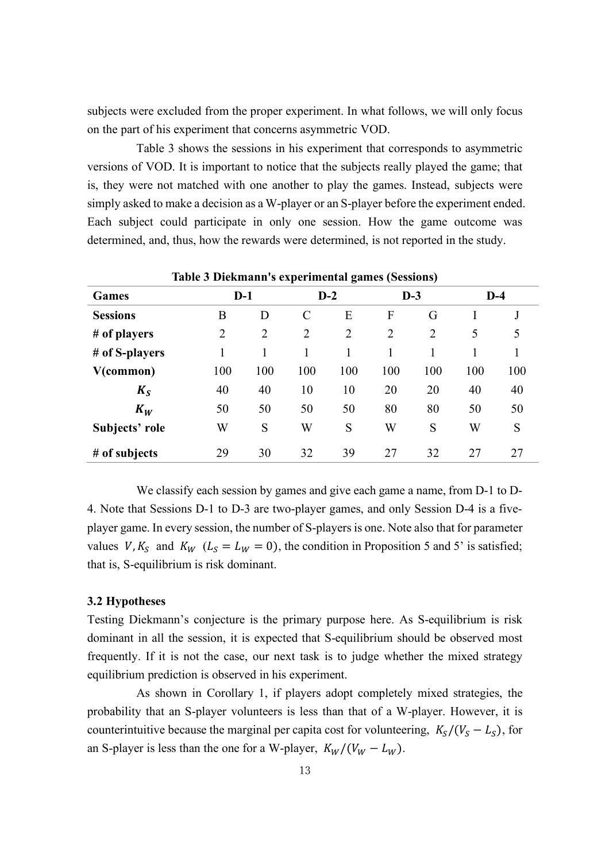subjects were excluded from the proper experiment. In what follows, we will only focus on the part of his experiment that concerns asymmetric VOD.

Table 3 shows the sessions in his experiment that corresponds to asymmetric versions of VOD. It is important to notice that the subjects really played the game; that is, they were not matched with one another to play the games. Instead, subjects were simply asked to make a decision as a W-player or an S-player before the experiment ended. Each subject could participate in only one session. How the game outcome was determined, and, thus, how the rewards were determined, is not reported in the study.

|                 |                |                         |                |                | Tuble & Dickmann 5 experimental gaines (Sessions) |     |     |     |
|-----------------|----------------|-------------------------|----------------|----------------|---------------------------------------------------|-----|-----|-----|
| <b>Games</b>    |                | $D-3$<br>$D-1$<br>$D-2$ |                |                | $D-4$                                             |     |     |     |
| <b>Sessions</b> | B              | D                       | $\mathcal{C}$  | E              | F                                                 | G   |     |     |
| # of players    | $\overline{2}$ | $\overline{2}$          | $\overline{2}$ | $\overline{2}$ | $\overline{2}$                                    | 2   | 5   | 5   |
| # of S-players  | 1              |                         | 1              | 1              |                                                   |     |     |     |
| V(common)       | 100            | 100                     | 100            | 100            | 100                                               | 100 | 100 | 100 |
| $K_{S}$         | 40             | 40                      | 10             | 10             | 20                                                | 20  | 40  | 40  |
| $K_W$           | 50             | 50                      | 50             | 50             | 80                                                | 80  | 50  | 50  |
| Subjects' role  | W              | S                       | W              | S              | W                                                 | S   | W   | S   |
| # of subjects   | 29             | 30                      | 32             | 39             | 27                                                | 32  | 27  | 27  |

**Table 3 Diekmann's experimental games (Sessions)**

We classify each session by games and give each game a name, from D-1 to D-4. Note that Sessions D-1 to D-3 are two-player games, and only Session D-4 is a fiveplayer game. In every session, the number of S-playersis one. Note also that for parameter values V,  $K_s$  and  $K_W$  ( $L_s = L_W = 0$ ), the condition in Proposition 5 and 5' is satisfied; that is, S-equilibrium is risk dominant.

#### **3.2 Hypotheses**

Testing Diekmann's conjecture is the primary purpose here. As S-equilibrium is risk dominant in all the session, it is expected that S-equilibrium should be observed most frequently. If it is not the case, our next task is to judge whether the mixed strategy equilibrium prediction is observed in his experiment.

As shown in Corollary 1, if players adopt completely mixed strategies, the probability that an S-player volunteers is less than that of a W-player. However, it is counterintuitive because the marginal per capita cost for volunteering,  $K_S/(V_S - L_S)$ , for an S-player is less than the one for a W-player,  $K_W/(V_W - L_W)$ .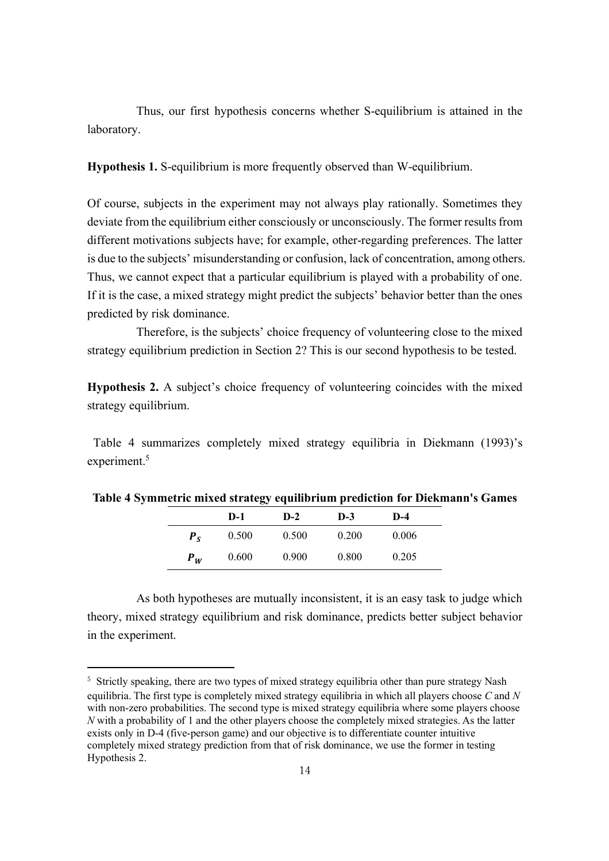Thus, our first hypothesis concerns whether S-equilibrium is attained in the laboratory.

**Hypothesis 1.** S-equilibrium is more frequently observed than W-equilibrium.

Of course, subjects in the experiment may not always play rationally. Sometimes they deviate from the equilibrium either consciously or unconsciously. The former results from different motivations subjects have; for example, other-regarding preferences. The latter is due to the subjects' misunderstanding or confusion, lack of concentration, among others. Thus, we cannot expect that a particular equilibrium is played with a probability of one. If it is the case, a mixed strategy might predict the subjects' behavior better than the ones predicted by risk dominance.

Therefore, is the subjects' choice frequency of volunteering close to the mixed strategy equilibrium prediction in Section 2? This is our second hypothesis to be tested.

**Hypothesis 2.** A subject's choice frequency of volunteering coincides with the mixed strategy equilibrium.

Table 4 summarizes completely mixed strategy equilibria in Diekmann (1993)'s experiment.<sup>5</sup>

|             | $D-1$ | $D-2$ | $D-3$ | $D-4$ |  |
|-------------|-------|-------|-------|-------|--|
| $P_{\rm c}$ | 0.500 | 0.500 | 0.200 | 0.006 |  |
| $P_W$       | 0.600 | 0.900 | 0.800 | 0.205 |  |

**Table 4 Symmetric mixed strategy equilibrium prediction for Diekmann's Games**

As both hypotheses are mutually inconsistent, it is an easy task to judge which theory, mixed strategy equilibrium and risk dominance, predicts better subject behavior in the experiment.

l

<sup>&</sup>lt;sup>5</sup> Strictly speaking, there are two types of mixed strategy equilibria other than pure strategy Nash equilibria. The first type is completely mixed strategy equilibria in which all players choose *C* and *N* with non-zero probabilities. The second type is mixed strategy equilibria where some players choose *N* with a probability of 1 and the other players choose the completely mixed strategies. As the latter exists only in D-4 (five-person game) and our objective is to differentiate counter intuitive completely mixed strategy prediction from that of risk dominance, we use the former in testing Hypothesis 2.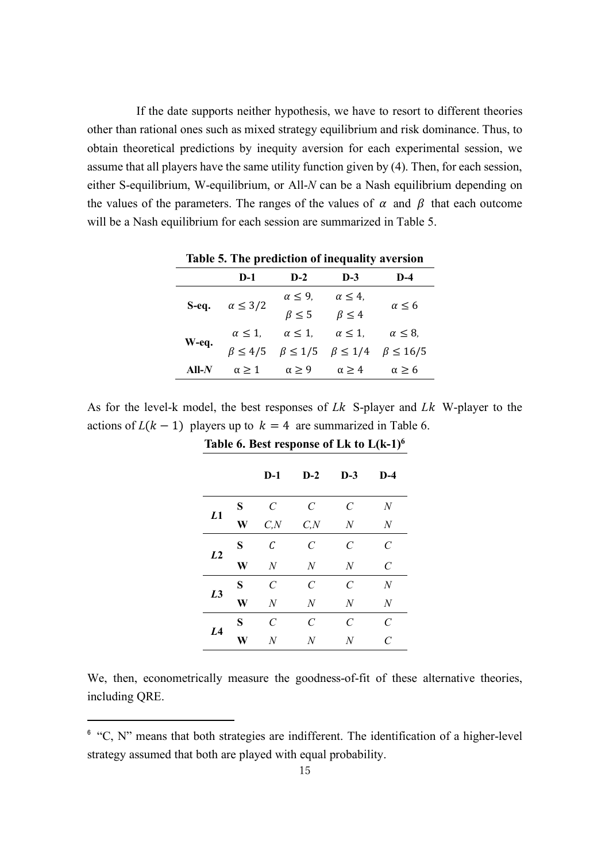If the date supports neither hypothesis, we have to resort to different theories other than rational ones such as mixed strategy equilibrium and risk dominance. Thus, to obtain theoretical predictions by inequity aversion for each experimental session, we assume that all players have the same utility function given by (4). Then, for each session, either S-equilibrium, W-equilibrium, or All-*N* can be a Nash equilibrium depending on the values of the parameters. The ranges of the values of  $\alpha$  and  $\beta$  that each outcome will be a Nash equilibrium for each session are summarized in Table 5.

| Table 5. The prediction of inequality aversion |                   |                                                    |                   |                   |  |  |  |  |  |
|------------------------------------------------|-------------------|----------------------------------------------------|-------------------|-------------------|--|--|--|--|--|
|                                                | $D-1$             | $D-2$                                              | $D-3$             | $D-4$             |  |  |  |  |  |
| S-eq.                                          | $\alpha \leq 3/2$ | $\alpha \leq 9$ ,                                  | $\alpha \leq 4$ , |                   |  |  |  |  |  |
|                                                |                   | $\beta \leq 5$                                     | $\beta \leq 4$    | $\alpha \leq 6$   |  |  |  |  |  |
| W-eq.                                          | $\alpha \leq 1$ , | $\alpha \leq 1$ .                                  | $\alpha \leq 1$ , | $\alpha \leq 8$ , |  |  |  |  |  |
|                                                |                   | $\beta \leq 4/5$ $\beta \leq 1/5$ $\beta \leq 1/4$ |                   | $\beta \leq 16/5$ |  |  |  |  |  |
| $All-N$                                        | $\alpha \geq 1$   | $\alpha > 9$                                       | $\alpha > 4$      | $\alpha \geq 6$   |  |  |  |  |  |

As for the level-k model, the best responses of *Lk* S-player and *Lk* W-player to the actions of  $L(k - 1)$  players up to  $k = 4$  are summarized in Table 6.

|                |   | $D-1$                   | $D-2$                       | $D-3$                       | $D-4$                 |
|----------------|---|-------------------------|-----------------------------|-----------------------------|-----------------------|
|                | S | $\mathcal C$            | $\mathcal C$                | $\mathcal C$                | N                     |
| L1             | W | C, N                    | C, N                        | N                           | N                     |
|                | S | C                       | $\mathcal{C}_{0}$           | $\mathcal{C}_{0}$           | $\overline{C}$        |
| L <sub>2</sub> | W | N                       | N                           | $\overline{N}$              | $\mathcal{C}_{0}^{0}$ |
|                | S | $\mathcal{C}_{0}^{(n)}$ | $\mathcal{C}_{\mathcal{C}}$ | $\mathcal{C}_{\mathcal{C}}$ | N                     |
| L <sub>3</sub> | W | $\overline{N}$          | $\overline{N}$              | $\overline{N}$              | $\boldsymbol{N}$      |
|                | S | $\mathcal{C}_{0}^{0}$   | $\mathcal C$                | $\mathcal{C}_{0}$           | $\overline{C}$        |
| L <sub>4</sub> | W | $\overline{N}$          | N                           | N                           | $\overline{C}$        |

**Table 6. Best response of Lk to L(k-1)6**

We, then, econometrically measure the goodness-of-fit of these alternative theories, including QRE.

 $\overline{a}$ 

 $6$  "C, N" means that both strategies are indifferent. The identification of a higher-level strategy assumed that both are played with equal probability.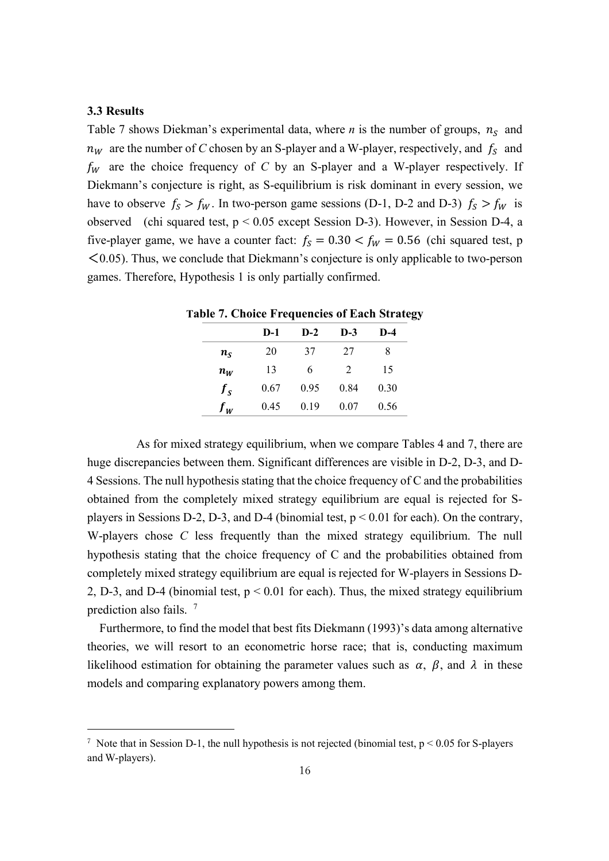#### **3.3 Results**

l

Table 7 shows Diekman's experimental data, where *n* is the number of groups,  $n_s$  and  $n_W$  are the number of *C* chosen by an S-player and a W-player, respectively, and  $f_s$  and  $f_W$  are the choice frequency of *C* by an S-player and a W-player respectively. If Diekmann's conjecture is right, as S-equilibrium is risk dominant in every session, we have to observe  $f_s > f_w$ . In two-person game sessions (D-1, D-2 and D-3)  $f_s > f_w$  is observed (chi squared test, p < 0.05 except Session D-3). However, in Session D-4, a five-player game, we have a counter fact:  $f_s = 0.30 < f_w = 0.56$  (chi squared test, p  $\leq$  0.05). Thus, we conclude that Diekmann's conjecture is only applicable to two-person games. Therefore, Hypothesis 1 is only partially confirmed.

| able 7. Choice Frequencies of Each Strateg |       |       |       |      |  |
|--------------------------------------------|-------|-------|-------|------|--|
|                                            | $D-1$ | $D-2$ | $D-3$ | D-4  |  |
| $n_{S}$                                    | 20    | 37    | 27    |      |  |
| $n_W$                                      | 13    | 6     | 2     | 15   |  |
| $f_{\rm g}$                                | 0.67  | 0.95  | 0.84  | 0.30 |  |
| $f_{w}$                                    | 0.45  | 0.19  | 0.07  | 0.56 |  |

**Table 7. Choice Frequencies of Each Strategy**

As for mixed strategy equilibrium, when we compare Tables 4 and 7, there are huge discrepancies between them. Significant differences are visible in D-2, D-3, and D-4 Sessions. The null hypothesis stating that the choice frequency of C and the probabilities obtained from the completely mixed strategy equilibrium are equal is rejected for Splayers in Sessions D-2, D-3, and D-4 (binomial test,  $p < 0.01$  for each). On the contrary, W-players chose *C* less frequently than the mixed strategy equilibrium. The null hypothesis stating that the choice frequency of C and the probabilities obtained from completely mixed strategy equilibrium are equal is rejected for W-players in Sessions D-2, D-3, and D-4 (binomial test, p < 0.01 for each). Thus, the mixed strategy equilibrium prediction also fails. <sup>7</sup>

 Furthermore, to find the model that best fits Diekmann (1993)'s data among alternative theories, we will resort to an econometric horse race; that is, conducting maximum likelihood estimation for obtaining the parameter values such as  $\alpha$ ,  $\beta$ , and  $\lambda$  in these models and comparing explanatory powers among them.

<sup>&</sup>lt;sup>7</sup> Note that in Session D-1, the null hypothesis is not rejected (binomial test,  $p < 0.05$  for S-players and W-players).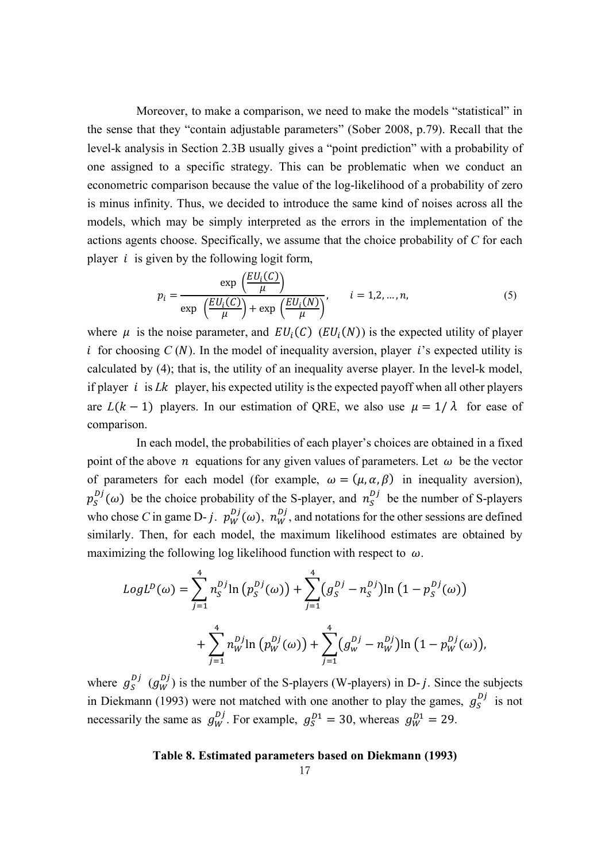Moreover, to make a comparison, we need to make the models "statistical" in the sense that they "contain adjustable parameters" (Sober 2008, p.79). Recall that the level-k analysis in Section 2.3B usually gives a "point prediction" with a probability of one assigned to a specific strategy. This can be problematic when we conduct an econometric comparison because the value of the log-likelihood of a probability of zero is minus infinity. Thus, we decided to introduce the same kind of noises across all the models, which may be simply interpreted as the errors in the implementation of the actions agents choose. Specifically, we assume that the choice probability of *C* for each player  $i$  is given by the following logit form,

$$
p_i = \frac{\exp\left(\frac{EU_i(C)}{\mu}\right)}{\exp\left(\frac{EU_i(C)}{\mu}\right) + \exp\left(\frac{EU_i(N)}{\mu}\right)}, \qquad i = 1, 2, ..., n,
$$
 (5)

where  $\mu$  is the noise parameter, and  $EU_i(C)$  ( $EU_i(N)$ ) is the expected utility of player i for choosing  $C(N)$ . In the model of inequality aversion, player i's expected utility is calculated by (4); that is, the utility of an inequality averse player. In the level-k model, if player  $i$  is *Lk* player, his expected utility is the expected payoff when all other players are  $L(k-1)$  players. In our estimation of QRE, we also use  $\mu = 1/\lambda$  for ease of comparison.

In each model, the probabilities of each player's choices are obtained in a fixed point of the above *n* equations for any given values of parameters. Let  $\omega$  be the vector of parameters for each model (for example,  $\omega = (\mu, \alpha, \beta)$  in inequality aversion),  $p_S^{D_j}(\omega)$  be the choice probability of the S-player, and  $n_S^{D_j}$  be the number of S-players who chose *C* in game D- *j*.  $p_W^{Dj}(\omega)$ ,  $n_W^{Dj}$ , and notations for the other sessions are defined similarly. Then, for each model, the maximum likelihood estimates are obtained by maximizing the following log likelihood function with respect to  $\omega$ .

$$
LogL^{D}(\omega) = \sum_{j=1}^{4} n_{S}^{Dj} \ln (p_{S}^{Dj}(\omega)) + \sum_{j=1}^{4} (g_{S}^{Dj} - n_{S}^{Dj}) \ln (1 - p_{S}^{Dj}(\omega)) + \sum_{j=1}^{4} n_{W}^{Dj} \ln (p_{W}^{Dj}(\omega)) + \sum_{j=1}^{4} (g_{W}^{Dj} - n_{W}^{Dj}) \ln (1 - p_{W}^{Dj}(\omega)),
$$

where  $g_S^{Dj}$   $(g_W^{Dj})$  is the number of the S-players (W-players) in D- j. Since the subjects in Diekmann (1993) were not matched with one another to play the games,  $g_S^{Dj}$  is not necessarily the same as  $g_W^{Dj}$ . For example,  $g_S^{D1} = 30$ , whereas  $g_W^{D1} = 29$ .

#### **Table 8. Estimated parameters based on Diekmann (1993)**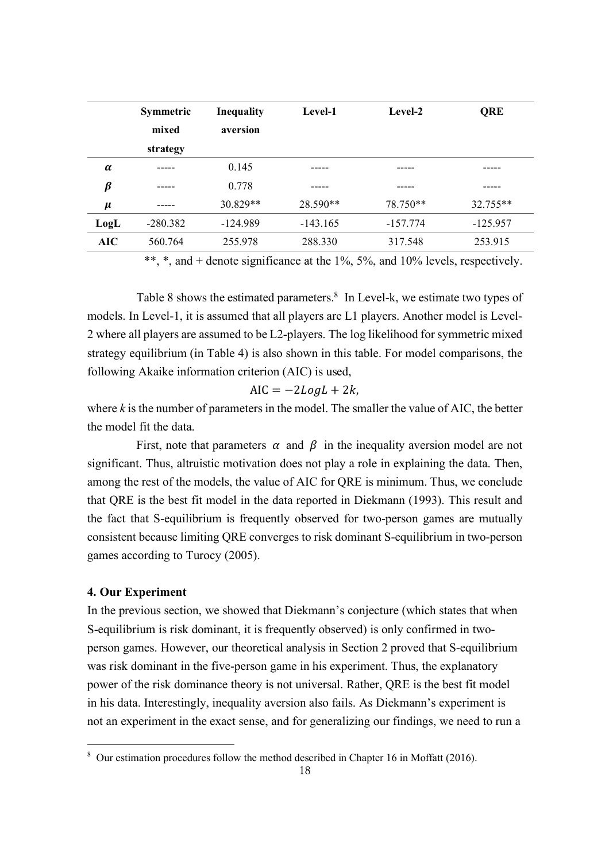|            | <b>Symmetric</b><br>mixed<br>strategy | <b>Inequality</b><br>aversion | Level-1    | Level-2    | QRE        |  |
|------------|---------------------------------------|-------------------------------|------------|------------|------------|--|
| $\alpha$   |                                       | 0.145                         |            |            |            |  |
| $\beta$    |                                       | 0.778                         |            |            |            |  |
| $\mu$      |                                       | $30.829**$                    | 28.590**   | 78.750**   | $32.755**$ |  |
| LogL       | $-280.382$                            | $-124.989$                    | $-143.165$ | $-157.774$ | $-125.957$ |  |
| <b>AIC</b> | 560.764                               | 255.978                       | 288.330    | 317.548    | 253.915    |  |

\*\*, \*, and + denote significance at the 1%, 5%, and 10% levels, respectively.

Table 8 shows the estimated parameters.<sup>8</sup> In Level-k, we estimate two types of models. In Level-1, it is assumed that all players are L1 players. Another model is Level-2 where all players are assumed to be L2-players. The log likelihood for symmetric mixed strategy equilibrium (in Table 4) is also shown in this table. For model comparisons, the following Akaike information criterion (AIC) is used,

$$
AIC = -2LogL + 2k,
$$

where  $k$  is the number of parameters in the model. The smaller the value of AIC, the better the model fit the data.

First, note that parameters  $\alpha$  and  $\beta$  in the inequality aversion model are not significant. Thus, altruistic motivation does not play a role in explaining the data. Then, among the rest of the models, the value of AIC for QRE is minimum. Thus, we conclude that QRE is the best fit model in the data reported in Diekmann (1993). This result and the fact that S-equilibrium is frequently observed for two-person games are mutually consistent because limiting QRE converges to risk dominant S-equilibrium in two-person games according to Turocy (2005).

#### **4. Our Experiment**

 $\overline{a}$ 

In the previous section, we showed that Diekmann's conjecture (which states that when S-equilibrium is risk dominant, it is frequently observed) is only confirmed in twoperson games. However, our theoretical analysis in Section 2 proved that S-equilibrium was risk dominant in the five-person game in his experiment. Thus, the explanatory power of the risk dominance theory is not universal. Rather, QRE is the best fit model in his data. Interestingly, inequality aversion also fails. As Diekmann's experiment is not an experiment in the exact sense, and for generalizing our findings, we need to run a

<sup>8</sup> Our estimation procedures follow the method described in Chapter 16 in Moffatt (2016).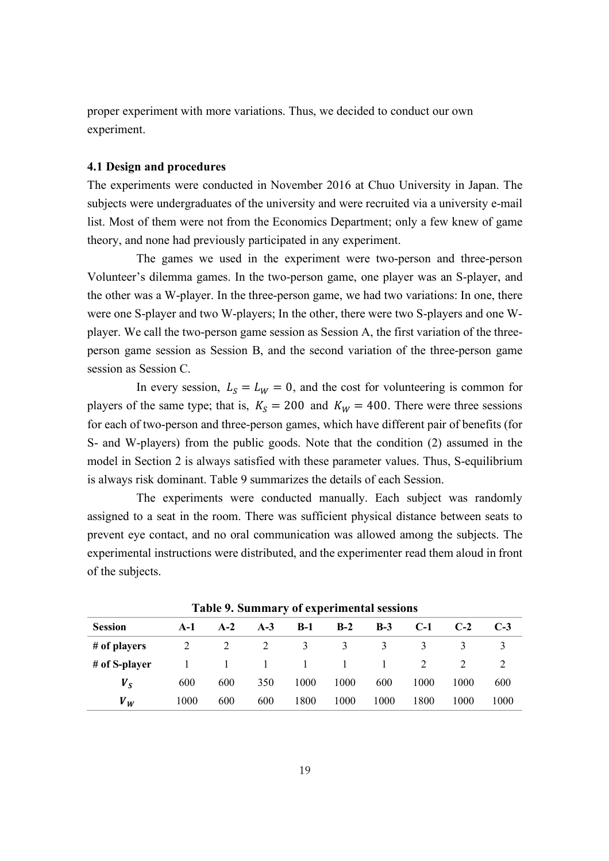proper experiment with more variations. Thus, we decided to conduct our own experiment.

#### **4.1 Design and procedures**

The experiments were conducted in November 2016 at Chuo University in Japan. The subjects were undergraduates of the university and were recruited via a university e-mail list. Most of them were not from the Economics Department; only a few knew of game theory, and none had previously participated in any experiment.

The games we used in the experiment were two-person and three-person Volunteer's dilemma games. In the two-person game, one player was an S-player, and the other was a W-player. In the three-person game, we had two variations: In one, there were one S-player and two W-players; In the other, there were two S-players and one Wplayer. We call the two-person game session as Session A, the first variation of the threeperson game session as Session B, and the second variation of the three-person game session as Session C.

In every session,  $L_s = L_W = 0$ , and the cost for volunteering is common for players of the same type; that is,  $K_s = 200$  and  $K_W = 400$ . There were three sessions for each of two-person and three-person games, which have different pair of benefits (for S- and W-players) from the public goods. Note that the condition (2) assumed in the model in Section 2 is always satisfied with these parameter values. Thus, S-equilibrium is always risk dominant. Table 9 summarizes the details of each Session.

The experiments were conducted manually. Each subject was randomly assigned to a seat in the room. There was sufficient physical distance between seats to prevent eye contact, and no oral communication was allowed among the subjects. The experimental instructions were distributed, and the experimenter read them aloud in front of the subjects.

| <b>Session</b> | A-1  | $A-2$        | $A-3$  | $B-1$        | $B-2$  | $B-3$ | $C-1$ | $C-2$ | $C-3$ |
|----------------|------|--------------|--------|--------------|--------|-------|-------|-------|-------|
| # of players   |      | 2            | 2      | 3            | 3      | 3     | 3     |       |       |
| # of S-player  |      | $\mathbf{1}$ | $\Box$ | $\mathbf{1}$ | $\Box$ | 1     | 2     |       |       |
| $V_{S}$        | 600  | 600          | 350    | 1000         | 1000   | 600   | 1000  | 1000  | 600   |
| $V_W$          | 1000 | 600          | 600    | 1800         | 1000   | 1000  | 1800  | 1000  | 1000  |

**Table 9. Summary of experimental sessions**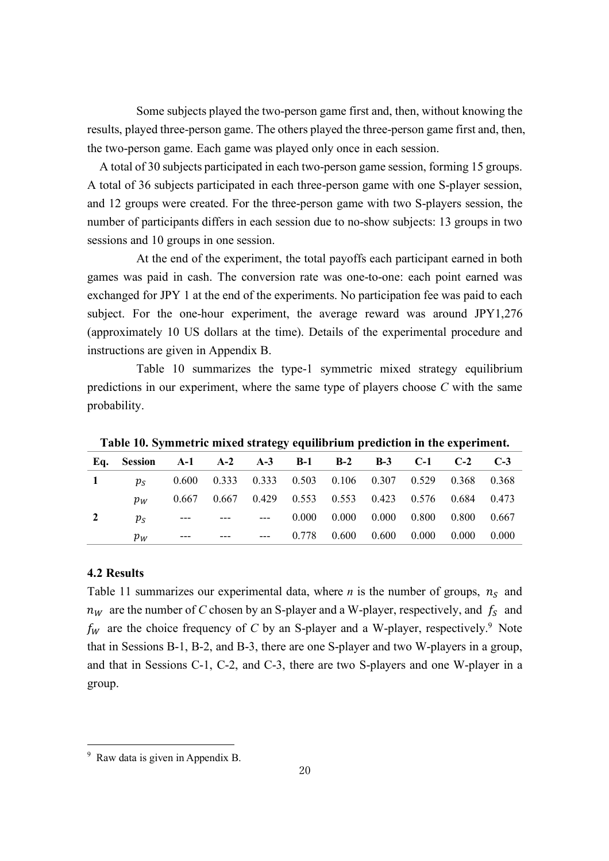Some subjects played the two-person game first and, then, without knowing the results, played three-person game. The others played the three-person game first and, then, the two-person game. Each game was played only once in each session.

A total of 30 subjects participated in each two-person game session, forming 15 groups. A total of 36 subjects participated in each three-person game with one S-player session, and 12 groups were created. For the three-person game with two S-players session, the number of participants differs in each session due to no-show subjects: 13 groups in two sessions and 10 groups in one session.

At the end of the experiment, the total payoffs each participant earned in both games was paid in cash. The conversion rate was one-to-one: each point earned was exchanged for JPY 1 at the end of the experiments. No participation fee was paid to each subject. For the one-hour experiment, the average reward was around JPY1,276 (approximately 10 US dollars at the time). Details of the experimental procedure and instructions are given in Appendix B.

Table 10 summarizes the type-1 symmetric mixed strategy equilibrium predictions in our experiment, where the same type of players choose *C* with the same probability.

| Eq. Session A-1 A-2 A-3 B-1 B-2 B-3 C-1 C-2 C-3               |                                                       |                                                       |  |  |                                           |  |
|---------------------------------------------------------------|-------------------------------------------------------|-------------------------------------------------------|--|--|-------------------------------------------|--|
| 1 $p_s$ 0.600 0.333 0.333 0.503 0.106 0.307 0.529 0.368 0.368 |                                                       |                                                       |  |  |                                           |  |
| $p_W$                                                         |                                                       | 0.667 0.667 0.429 0.553 0.553 0.423 0.576 0.684 0.473 |  |  |                                           |  |
|                                                               | $p_s$ --- --- --- 0.000 0.000 0.000 0.800 0.800 0.667 |                                                       |  |  |                                           |  |
| $p_W$                                                         | ---                                                   |                                                       |  |  | $--- 0.778 0.600 0.600 0.000 0.000 0.000$ |  |

**Table 10. Symmetric mixed strategy equilibrium prediction in the experiment.**

#### **4.2 Results**

 $\overline{a}$ 

Table 11 summarizes our experimental data, where *n* is the number of groups,  $n_s$  and  $n_W$  are the number of *C* chosen by an S-player and a W-player, respectively, and  $f_s$  and  $f_W$  are the choice frequency of *C* by an S-player and a W-player, respectively.<sup>9</sup> Note that in Sessions B-1, B-2, and B-3, there are one S-player and two W-players in a group, and that in Sessions C-1, C-2, and C-3, there are two S-players and one W-player in a group.

<sup>&</sup>lt;sup>9</sup> Raw data is given in Appendix B.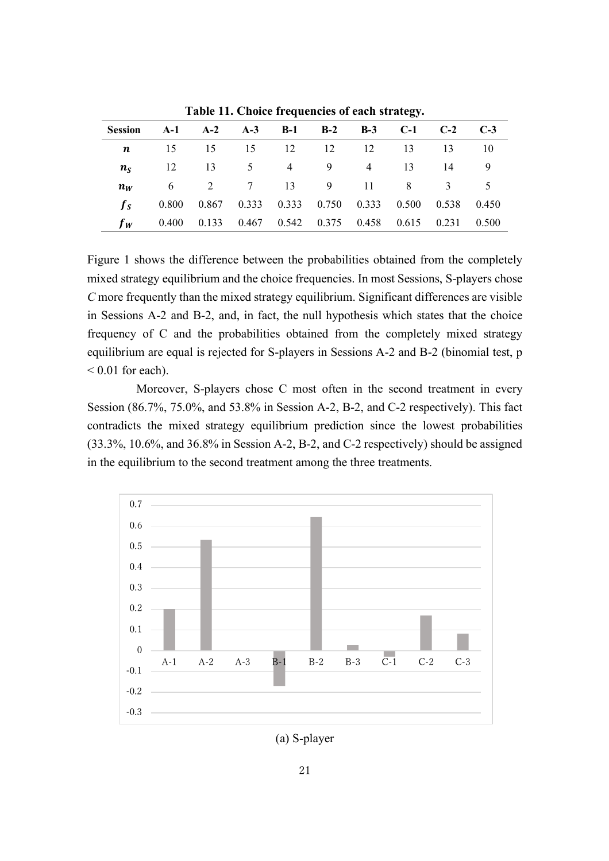| Session A-1 A-2 A-3 B-1 B-2 B-3 C-1 C-2 C-3 |                                                       |                   |  |  |  |  |
|---------------------------------------------|-------------------------------------------------------|-------------------|--|--|--|--|
|                                             | <b>n</b> 15 15 15 12 12 12 13 13 10                   |                   |  |  |  |  |
|                                             | $n_S$ 12 13 5 4 9 4 13 14 9                           |                   |  |  |  |  |
| $n_{W}$                                     |                                                       | 6 2 7 13 9 11 8 3 |  |  |  |  |
|                                             | 0.800 0.867 0.333 0.333 0.750 0.333 0.500 0.538 0.450 |                   |  |  |  |  |
| $f_W$                                       | 0.400 0.133 0.467 0.542 0.375 0.458 0.615 0.231 0.500 |                   |  |  |  |  |

**Table 11. Choice frequencies of each strategy.**

Figure 1 shows the difference between the probabilities obtained from the completely mixed strategy equilibrium and the choice frequencies. In most Sessions, S-players chose *C* more frequently than the mixed strategy equilibrium. Significant differences are visible in Sessions A-2 and B-2, and, in fact, the null hypothesis which states that the choice frequency of C and the probabilities obtained from the completely mixed strategy equilibrium are equal is rejected for S-players in Sessions A-2 and B-2 (binomial test, p  $< 0.01$  for each).

Moreover, S-players chose C most often in the second treatment in every Session (86.7%, 75.0%, and 53.8% in Session A-2, B-2, and C-2 respectively). This fact contradicts the mixed strategy equilibrium prediction since the lowest probabilities (33.3%, 10.6%, and 36.8% in Session A-2, B-2, and C-2 respectively) should be assigned in the equilibrium to the second treatment among the three treatments.



(a) S-player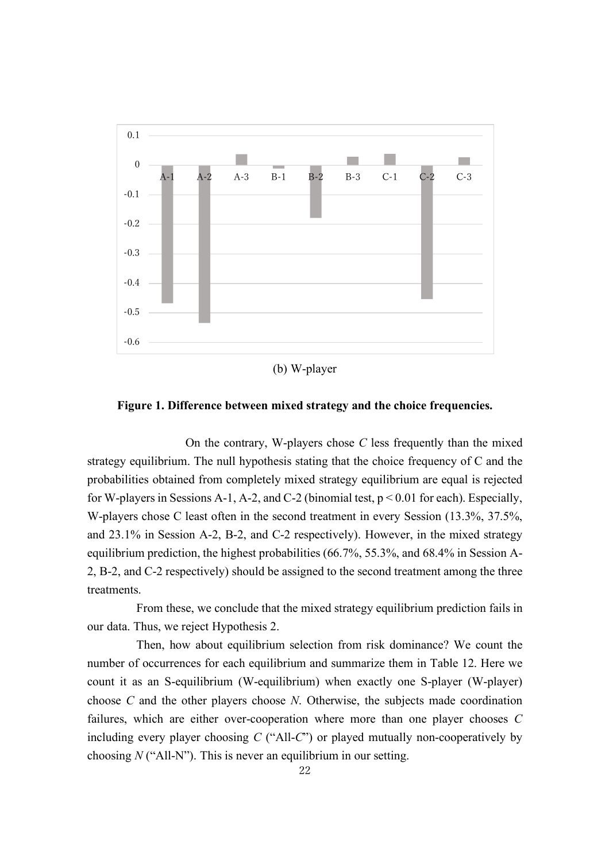

(b) W-player

**Figure 1. Difference between mixed strategy and the choice frequencies.**

On the contrary, W-players chose *C* less frequently than the mixed strategy equilibrium. The null hypothesis stating that the choice frequency of C and the probabilities obtained from completely mixed strategy equilibrium are equal is rejected for W-players in Sessions A-1, A-2, and C-2 (binomial test,  $p < 0.01$  for each). Especially, W-players chose C least often in the second treatment in every Session (13.3%, 37.5%, and 23.1% in Session A-2, B-2, and C-2 respectively). However, in the mixed strategy equilibrium prediction, the highest probabilities (66.7%, 55.3%, and 68.4% in Session A-2, B-2, and C-2 respectively) should be assigned to the second treatment among the three treatments.

From these, we conclude that the mixed strategy equilibrium prediction fails in our data. Thus, we reject Hypothesis 2.

Then, how about equilibrium selection from risk dominance? We count the number of occurrences for each equilibrium and summarize them in Table 12. Here we count it as an S-equilibrium (W-equilibrium) when exactly one S-player (W-player) choose *C* and the other players choose *N*. Otherwise, the subjects made coordination failures, which are either over-cooperation where more than one player chooses *C* including every player choosing *C* ("All-*C*") or played mutually non-cooperatively by choosing *N* ("All-N"). This is never an equilibrium in our setting.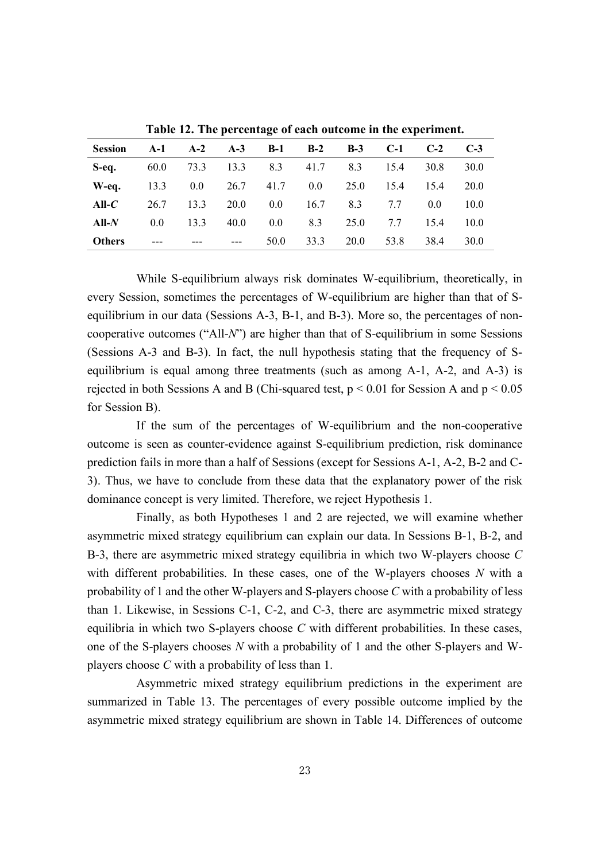| <b>Session</b>                                     | A-1 A-2 A-3 B-1 B-2 B-3 C-1 C-2     |                                          |  |                          |  | $C-3$ |
|----------------------------------------------------|-------------------------------------|------------------------------------------|--|--------------------------|--|-------|
| <b>S-eq.</b> 60.0 73.3 13.3 8.3 41.7 8.3 15.4 30.8 |                                     |                                          |  |                          |  | 30.0  |
| W-eq. 13.3 0.0 26.7 41.7 0.0 25.0 15.4 15.4        |                                     |                                          |  |                          |  | 20.0  |
| All- $C$                                           |                                     | 26.7 13.3 20.0 0.0 16.7 8.3 7.7 0.0 10.0 |  |                          |  |       |
| All- $N$                                           |                                     | 0.0 13.3 40.0 0.0 8.3 25.0 7.7 15.4      |  |                          |  | 10.0  |
| <b>Others</b>                                      | المتفارق المتفارق المتفارق والمنادر |                                          |  | 50.0 33.3 20.0 53.8 38.4 |  | 30.0  |

**Table 12. The percentage of each outcome in the experiment.**

While S-equilibrium always risk dominates W-equilibrium, theoretically, in every Session, sometimes the percentages of W-equilibrium are higher than that of Sequilibrium in our data (Sessions A-3, B-1, and B-3). More so, the percentages of noncooperative outcomes ("All-*N*") are higher than that of S-equilibrium in some Sessions (Sessions A-3 and B-3). In fact, the null hypothesis stating that the frequency of Sequilibrium is equal among three treatments (such as among A-1, A-2, and A-3) is rejected in both Sessions A and B (Chi-squared test,  $p < 0.01$  for Session A and  $p < 0.05$ ) for Session B).

If the sum of the percentages of W-equilibrium and the non-cooperative outcome is seen as counter-evidence against S-equilibrium prediction, risk dominance prediction fails in more than a half of Sessions (except for Sessions A-1, A-2, B-2 and C-3). Thus, we have to conclude from these data that the explanatory power of the risk dominance concept is very limited. Therefore, we reject Hypothesis 1.

Finally, as both Hypotheses 1 and 2 are rejected, we will examine whether asymmetric mixed strategy equilibrium can explain our data. In Sessions B-1, B-2, and B-3, there are asymmetric mixed strategy equilibria in which two W-players choose *C* with different probabilities. In these cases, one of the W-players chooses *N* with a probability of 1 and the other W-players and S-players choose *C* with a probability of less than 1. Likewise, in Sessions C-1, C-2, and C-3, there are asymmetric mixed strategy equilibria in which two S-players choose *C* with different probabilities. In these cases, one of the S-players chooses *N* with a probability of 1 and the other S-players and Wplayers choose *C* with a probability of less than 1.

Asymmetric mixed strategy equilibrium predictions in the experiment are summarized in Table 13. The percentages of every possible outcome implied by the asymmetric mixed strategy equilibrium are shown in Table 14. Differences of outcome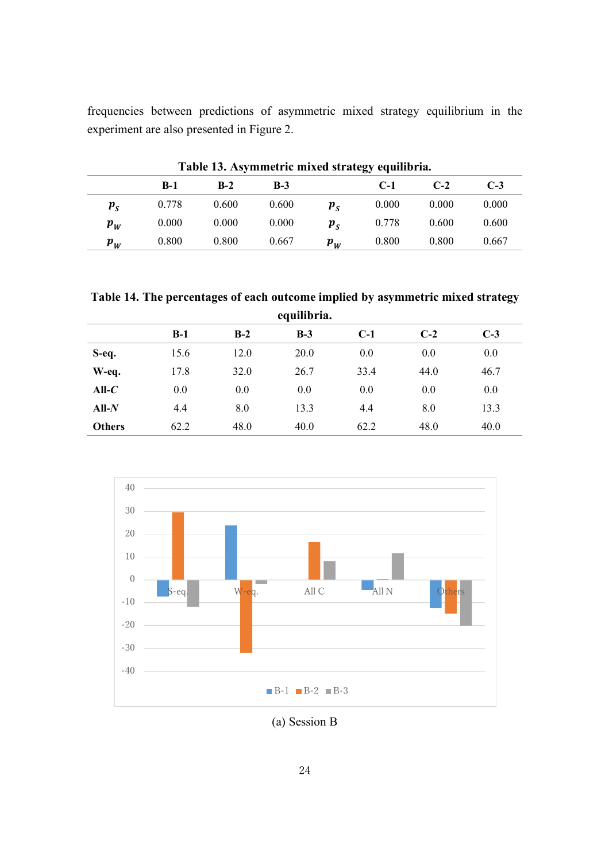frequencies between predictions of asymmetric mixed strategy equilibrium in the experiment are also presented in Figure 2.

|                                   | Table 19. Asymmetric mixed su alegy equilibria. |       |       |                             |       |       |       |
|-----------------------------------|-------------------------------------------------|-------|-------|-----------------------------|-------|-------|-------|
|                                   | $B-1$                                           | $B-2$ | $B-3$ |                             | $C-1$ | $C-2$ | $C-3$ |
| $\boldsymbol{p}_{\boldsymbol{S}}$ | 0.778                                           | 0.600 | 0.600 | $p_{\rm c}$                 | 0.000 | 0.000 | 0.000 |
| $\boldsymbol{p}_{\boldsymbol{W}}$ | 0.000                                           | 0.000 | 0.000 | $\boldsymbol{p}_{\text{c}}$ | 0.778 | 0.600 | 0.600 |
| $\boldsymbol{p}_{\boldsymbol{W}}$ | 0.800                                           | 0.800 | 0.667 | $p_{W}$                     | 0.800 | 0.800 | 0.667 |

**Table 13. Asymmetric mixed strategy equilibria.**

**Table 14. The percentages of each outcome implied by asymmetric mixed strategy equilibria.**

|                   |       |       | equilibria. |       |       |       |
|-------------------|-------|-------|-------------|-------|-------|-------|
|                   | $B-1$ | $B-2$ | $B-3$       | $C-1$ | $C-2$ | $C-3$ |
| S-eq.             | 15.6  | 12.0  | 20.0        | 0.0   | 0.0   | 0.0   |
| W-eq.             | 17.8  | 32.0  | 26.7        | 33.4  | 44.0  | 46.7  |
| All- $\mathcal C$ | 0.0   | 0.0   | 0.0         | 0.0   | 0.0   | 0.0   |
| $All-N$           | 4.4   | 8.0   | 13.3        | 4.4   | 8.0   | 13.3  |
| <b>Others</b>     | 62.2  | 48.0  | 40.0        | 62.2  | 48.0  | 40.0  |



(a) Session B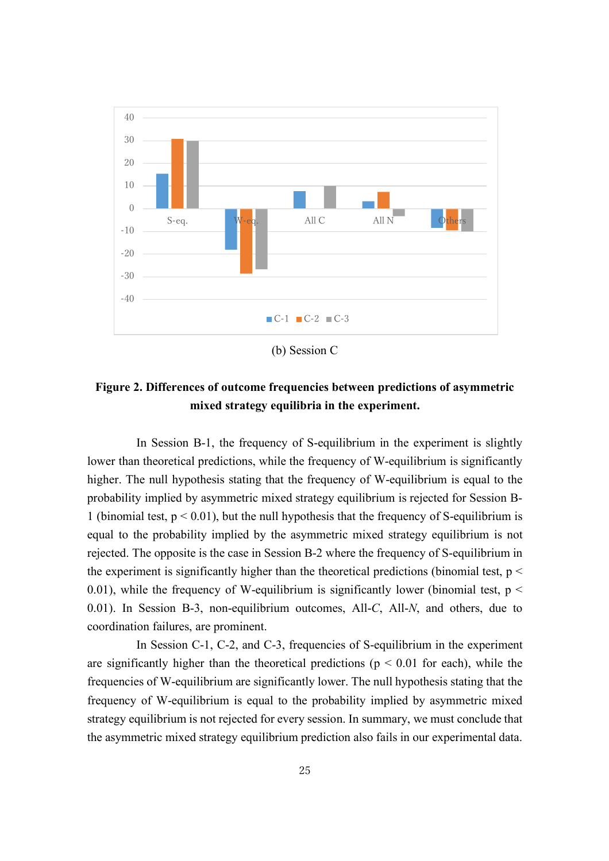

(b) Session C

# **Figure 2. Differences of outcome frequencies between predictions of asymmetric mixed strategy equilibria in the experiment.**

In Session B-1, the frequency of S-equilibrium in the experiment is slightly lower than theoretical predictions, while the frequency of W-equilibrium is significantly higher. The null hypothesis stating that the frequency of W-equilibrium is equal to the probability implied by asymmetric mixed strategy equilibrium is rejected for Session B-1 (binomial test,  $p < 0.01$ ), but the null hypothesis that the frequency of S-equilibrium is equal to the probability implied by the asymmetric mixed strategy equilibrium is not rejected. The opposite is the case in Session B-2 where the frequency of S-equilibrium in the experiment is significantly higher than the theoretical predictions (binomial test,  $p <$ 0.01), while the frequency of W-equilibrium is significantly lower (binomial test,  $p <$ 0.01). In Session B-3, non-equilibrium outcomes, All-*C*, All-*N*, and others, due to coordination failures, are prominent.

In Session C-1, C-2, and C-3, frequencies of S-equilibrium in the experiment are significantly higher than the theoretical predictions ( $p < 0.01$  for each), while the frequencies of W-equilibrium are significantly lower. The null hypothesis stating that the frequency of W-equilibrium is equal to the probability implied by asymmetric mixed strategy equilibrium is not rejected for every session. In summary, we must conclude that the asymmetric mixed strategy equilibrium prediction also fails in our experimental data.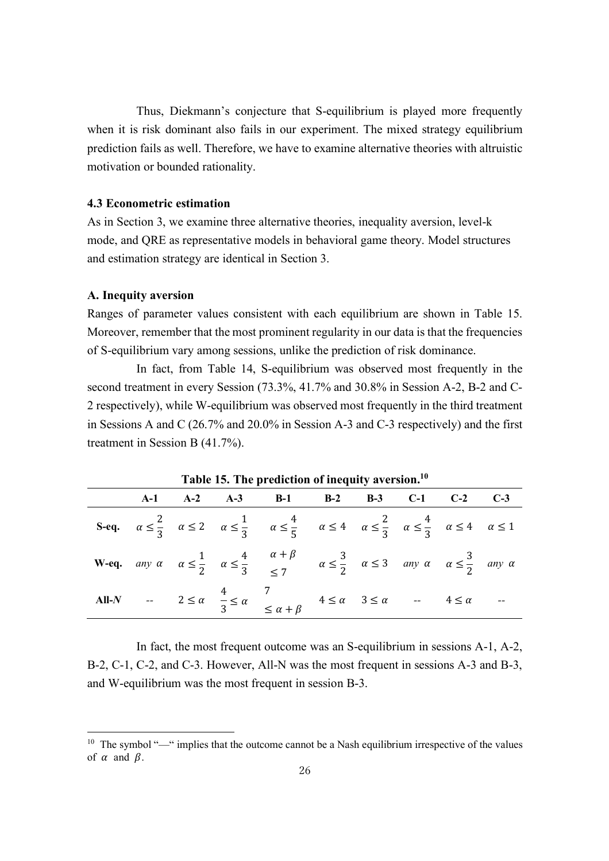Thus, Diekmann's conjecture that S-equilibrium is played more frequently when it is risk dominant also fails in our experiment. The mixed strategy equilibrium prediction fails as well. Therefore, we have to examine alternative theories with altruistic motivation or bounded rationality.

#### **4.3 Econometric estimation**

As in Section 3, we examine three alternative theories, inequality aversion, level-k mode, and QRE as representative models in behavioral game theory. Model structures and estimation strategy are identical in Section 3.

#### **A. Inequity aversion**

l

Ranges of parameter values consistent with each equilibrium are shown in Table 15. Moreover, remember that the most prominent regularity in our data is that the frequencies of S-equilibrium vary among sessions, unlike the prediction of risk dominance.

In fact, from Table 14, S-equilibrium was observed most frequently in the second treatment in every Session (73.3%, 41.7% and 30.8% in Session A-2, B-2 and C-2 respectively), while W-equilibrium was observed most frequently in the third treatment in Sessions A and C (26.7% and 20.0% in Session A-3 and C-3 respectively) and the first treatment in Session B (41.7%).

| Table 15. The prediction of inequity aversion. |  |  |                                                                                                                                                                                                       |  |  |  |  |  |
|------------------------------------------------|--|--|-------------------------------------------------------------------------------------------------------------------------------------------------------------------------------------------------------|--|--|--|--|--|
|                                                |  |  | A-1 A-2 A-3 B-1 B-2 B-3 C-1 C-2 C-3                                                                                                                                                                   |  |  |  |  |  |
|                                                |  |  | S-eq. $\alpha \le \frac{2}{3}$ $\alpha \le 2$ $\alpha \le \frac{1}{3}$ $\alpha \le \frac{4}{5}$ $\alpha \le 4$ $\alpha \le \frac{2}{3}$ $\alpha \le \frac{4}{3}$ $\alpha \le 4$ $\alpha \le 1$        |  |  |  |  |  |
|                                                |  |  | <b>W-eq.</b> any $\alpha$ $\alpha \le \frac{1}{2}$ $\alpha \le \frac{4}{3}$ $\frac{\alpha + \beta}{\le 7}$ $\alpha \le \frac{3}{2}$ $\alpha \le 3$ any $\alpha$ $\alpha \le \frac{3}{2}$ any $\alpha$ |  |  |  |  |  |
|                                                |  |  | All-N -- $2 \le \alpha$ $\frac{4}{3} \le \alpha$ $\frac{7}{3} \le \alpha + \beta$ $4 \le \alpha$ $3 \le \alpha$ -- $4 \le \alpha$ --                                                                  |  |  |  |  |  |

**Table 15. The prediction of inequity aversion.10**

In fact, the most frequent outcome was an S-equilibrium in sessions A-1, A-2, B-2, C-1, C-2, and C-3. However, All-N was the most frequent in sessions A-3 and B-3, and W-equilibrium was the most frequent in session B-3.

<sup>&</sup>lt;sup>10</sup> The symbol "—" implies that the outcome cannot be a Nash equilibrium irrespective of the values of  $\alpha$  and  $\beta$ .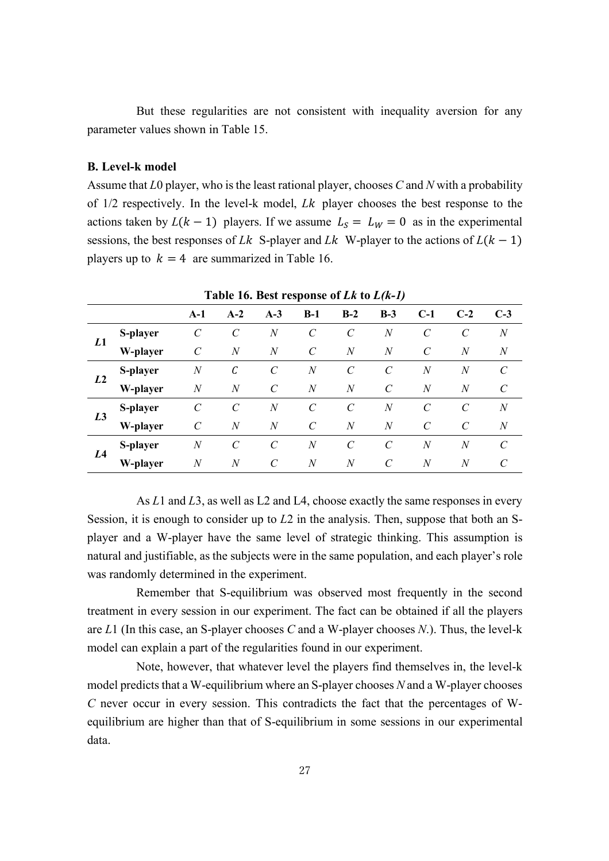But these regularities are not consistent with inequality aversion for any parameter values shown in Table 15.

#### **B. Level-k model**

Assume that *L*0 player, who is the least rational player, chooses *C* and *N* with a probability of 1/2 respectively. In the level-k model, *Lk* player chooses the best response to the actions taken by  $L(k - 1)$  players. If we assume  $L<sub>S</sub> = L<sub>W</sub> = 0$  as in the experimental sessions, the best responses of *Lk* S-player and *Lk* W-player to the actions of  $L(k - 1)$ players up to  $k = 4$  are summarized in Table 16.

|                | Table 16. Best response of Lk to $L(k-1)$ |                  |                       |                         |                       |                  |                  |                  |                         |                       |
|----------------|-------------------------------------------|------------------|-----------------------|-------------------------|-----------------------|------------------|------------------|------------------|-------------------------|-----------------------|
|                |                                           | $A-1$            | $A-2$                 | $A-3$                   | $B-1$                 | $B-2$            | $B-3$            | $C-1$            | $C-2$                   | $C-3$                 |
|                | S-player                                  | C                | $\mathcal C$          | $\boldsymbol{N}$        | $\mathcal{C}$         | $\mathcal C$     | $\boldsymbol{N}$ | $\mathcal{C}$    |                         | $\boldsymbol{N}$      |
| L1             | W-player                                  | $\mathcal{C}$    | $\boldsymbol{N}$      | $\boldsymbol{N}$        | $\mathcal{C}$         | $\overline{N}$   | $\overline{N}$   | $\mathcal{C}$    | $\boldsymbol{N}$        | $\boldsymbol{N}$      |
| L <sub>2</sub> | S-player                                  | $\boldsymbol{N}$ | C                     | $\mathcal{C}_{0}^{(n)}$ | $\boldsymbol{N}$      | $\mathcal{C}$    | $\mathcal{C}$    | $\boldsymbol{N}$ | $\mathcal N$            | $\mathcal{C}_{0}^{0}$ |
|                | W-player                                  | N                | $\boldsymbol{N}$      | $\mathcal{C}_{0}^{0}$   | $\boldsymbol{N}$      | $\boldsymbol{N}$ | $\mathcal{C}$    | N                | N                       | $\mathcal{C}$         |
|                | S-player                                  | $\mathcal{C}$    | $\mathcal{C}_{0}^{0}$ | $\overline{N}$          | $\mathcal{C}_{0}^{0}$ | $\mathcal{C}$    | $\overline{N}$   | $\mathcal{C}$    | $\mathcal{C}$           | $\boldsymbol{N}$      |
| L <sub>3</sub> | W-player                                  | C                | $\boldsymbol{N}$      | $\boldsymbol{N}$        | $\mathcal{C}$         | $\boldsymbol{N}$ | $\boldsymbol{N}$ | $\mathcal{C}$    | $\mathcal{C}_{0}^{(n)}$ | $\boldsymbol{N}$      |
|                | S-player                                  | $\boldsymbol{N}$ | $\mathcal{C}$         | $\mathcal{C}_{0}^{0}$   | $\boldsymbol{N}$      | $\mathcal{C}$    | $\mathcal{C}$    | $\overline{N}$   | $\mathcal N$            | $\mathcal{C}$         |
| L <sub>4</sub> | W-player                                  | $\boldsymbol{N}$ | N                     | C                       | $\boldsymbol{N}$      | $\boldsymbol{N}$ | C                | N                | $\boldsymbol{N}$        |                       |

As *L*1 and *L*3, as well as L2 and L4, choose exactly the same responses in every Session, it is enough to consider up to *L*2 in the analysis. Then, suppose that both an Splayer and a W-player have the same level of strategic thinking. This assumption is natural and justifiable, as the subjects were in the same population, and each player's role was randomly determined in the experiment.

Remember that S-equilibrium was observed most frequently in the second treatment in every session in our experiment. The fact can be obtained if all the players are *L*1 (In this case, an S-player chooses *C* and a W-player chooses *N*.). Thus, the level-k model can explain a part of the regularities found in our experiment.

Note, however, that whatever level the players find themselves in, the level-k model predicts that a W-equilibrium where an S-player chooses *N* and a W-player chooses *C* never occur in every session. This contradicts the fact that the percentages of Wequilibrium are higher than that of S-equilibrium in some sessions in our experimental data.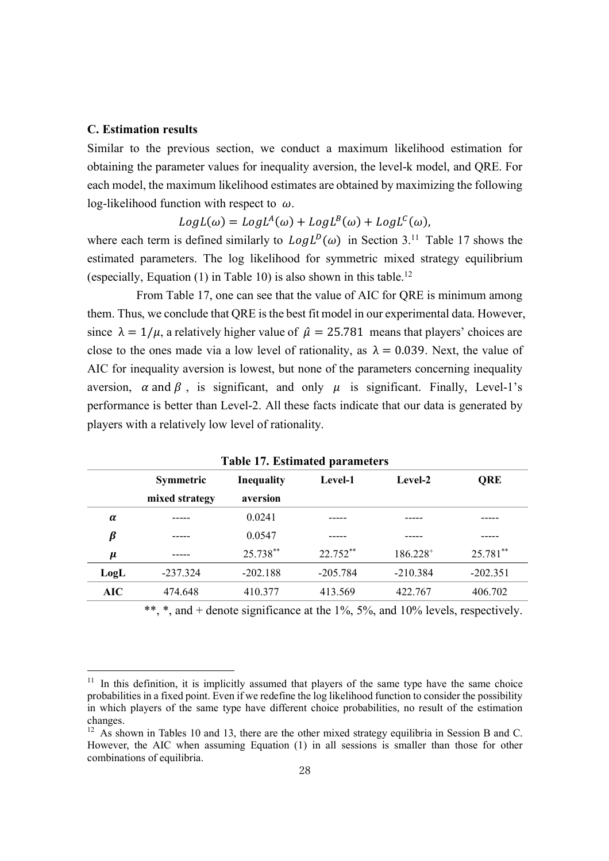#### **C. Estimation results**

l

Similar to the previous section, we conduct a maximum likelihood estimation for obtaining the parameter values for inequality aversion, the level-k model, and QRE. For each model, the maximum likelihood estimates are obtained by maximizing the following log-likelihood function with respect to  $\omega$ .

## $LogL(\omega) = LogL^{A}(\omega) + LogL^{B}(\omega) + LogL^{C}(\omega),$

where each term is defined similarly to  $LogL^{D}(\omega)$  in Section 3.<sup>11</sup> Table 17 shows the estimated parameters. The log likelihood for symmetric mixed strategy equilibrium (especially, Equation  $(1)$  in Table 10) is also shown in this table.<sup>12</sup>

From Table 17, one can see that the value of AIC for QRE is minimum among them. Thus, we conclude that QRE is the best fit model in our experimental data. However, since  $\lambda = 1/\mu$ , a relatively higher value of  $\hat{\mu} = 25.781$  means that players' choices are close to the ones made via a low level of rationality, as  $\lambda = 0.039$ . Next, the value of AIC for inequality aversion is lowest, but none of the parameters concerning inequality aversion,  $\alpha$  and  $\beta$ , is significant, and only  $\mu$  is significant. Finally, Level-1's performance is better than Level-2. All these facts indicate that our data is generated by players with a relatively low level of rationality.

| rabic 17. Estimated parameters |                  |                   |            |               |            |  |  |
|--------------------------------|------------------|-------------------|------------|---------------|------------|--|--|
|                                | <b>Symmetric</b> | <b>Inequality</b> | Level-1    | Level-2       | QRE        |  |  |
|                                | mixed strategy   | aversion          |            |               |            |  |  |
| $\alpha$                       | -----            | 0.0241            |            |               |            |  |  |
| β                              | .                | 0.0547            |            |               |            |  |  |
| $\mu$                          |                  | 25.738**          | $22.752**$ | $186.228^{+}$ | 25.781**   |  |  |
| LogL                           | $-237.324$       | $-202.188$        | $-205.784$ | $-210.384$    | $-202.351$ |  |  |
| AIC                            | 474.648          | 410.377           | 413.569    | 422.767       | 406.702    |  |  |
|                                |                  |                   |            |               |            |  |  |

**Table 17. Estimated parameters**

\*\*, \*, and + denote significance at the 1%, 5%, and 10% levels, respectively.

 $11$  In this definition, it is implicitly assumed that players of the same type have the same choice probabilities in a fixed point. Even if we redefine the log likelihood function to consider the possibility in which players of the same type have different choice probabilities, no result of the estimation changes.

<sup>&</sup>lt;sup>12</sup> As shown in Tables 10 and 13, there are the other mixed strategy equilibria in Session B and C. However, the AIC when assuming Equation (1) in all sessions is smaller than those for other combinations of equilibria.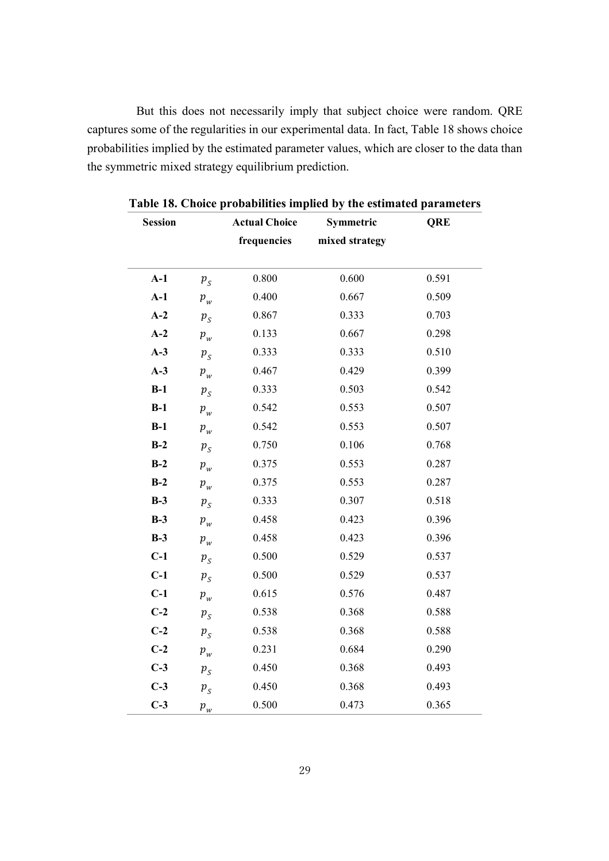But this does not necessarily imply that subject choice were random. QRE captures some of the regularities in our experimental data. In fact, Table 18 shows choice probabilities implied by the estimated parameter values, which are closer to the data than the symmetric mixed strategy equilibrium prediction.

| <b>Session</b> |         | <b>Actual Choice</b> | Symmetric      | <b>QRE</b> |
|----------------|---------|----------------------|----------------|------------|
|                |         | frequencies          | mixed strategy |            |
|                |         |                      |                |            |
| $A-1$          | $p_{S}$ | 0.800                | 0.600          | 0.591      |
| $A-1$          | $p_{w}$ | 0.400                | 0.667          | 0.509      |
| $A-2$          | $p_{S}$ | 0.867                | 0.333          | 0.703      |
| $A-2$          | $p_{w}$ | 0.133                | 0.667          | 0.298      |
| $A-3$          | $p_{S}$ | 0.333                | 0.333          | 0.510      |
| $A-3$          | $p_{w}$ | 0.467                | 0.429          | 0.399      |
| $B-1$          | $p_{S}$ | 0.333                | 0.503          | 0.542      |
| $B-1$          | $p_{w}$ | 0.542                | 0.553          | 0.507      |
| $B-1$          | $p_{w}$ | 0.542                | 0.553          | 0.507      |
| $B-2$          | $p_{S}$ | 0.750                | 0.106          | 0.768      |
| $B-2$          | $p_{w}$ | 0.375                | 0.553          | 0.287      |
| $B-2$          | $p_{w}$ | 0.375                | 0.553          | 0.287      |
| $B-3$          | $p_{S}$ | 0.333                | 0.307          | 0.518      |
| $B-3$          | $p_{w}$ | 0.458                | 0.423          | 0.396      |
| $B-3$          | $p_{w}$ | 0.458                | 0.423          | 0.396      |
| $C-1$          | $p_{S}$ | 0.500                | 0.529          | 0.537      |
| $C-1$          | $p_{S}$ | 0.500                | 0.529          | 0.537      |
| $C-1$          | $p_{w}$ | 0.615                | 0.576          | 0.487      |
| $C-2$          | $p_{S}$ | 0.538                | 0.368          | 0.588      |
| $C-2$          | $p_{S}$ | 0.538                | 0.368          | 0.588      |
| $C-2$          | $p_{w}$ | 0.231                | 0.684          | 0.290      |
| $C-3$          | $p_{S}$ | 0.450                | 0.368          | 0.493      |
| $C-3$          | $p_{S}$ | 0.450                | 0.368          | 0.493      |
| $C-3$          | $p_{w}$ | 0.500                | 0.473          | 0.365      |

**Table 18. Choice probabilities implied by the estimated parameters**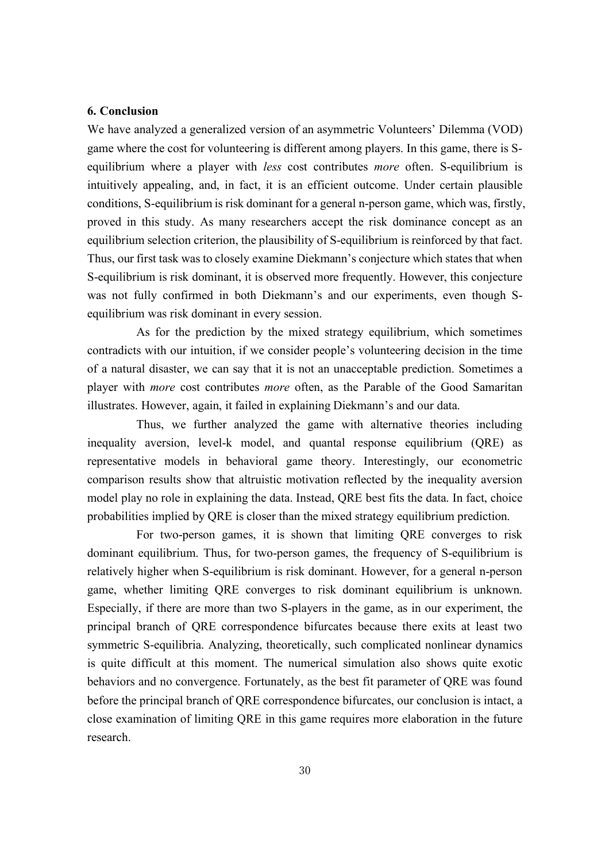#### **6. Conclusion**

We have analyzed a generalized version of an asymmetric Volunteers' Dilemma (VOD) game where the cost for volunteering is different among players. In this game, there is Sequilibrium where a player with *less* cost contributes *more* often. S-equilibrium is intuitively appealing, and, in fact, it is an efficient outcome. Under certain plausible conditions, S-equilibrium is risk dominant for a general n-person game, which was, firstly, proved in this study. As many researchers accept the risk dominance concept as an equilibrium selection criterion, the plausibility of S-equilibrium is reinforced by that fact. Thus, our first task was to closely examine Diekmann's conjecture which states that when S-equilibrium is risk dominant, it is observed more frequently. However, this conjecture was not fully confirmed in both Diekmann's and our experiments, even though Sequilibrium was risk dominant in every session.

As for the prediction by the mixed strategy equilibrium, which sometimes contradicts with our intuition, if we consider people's volunteering decision in the time of a natural disaster, we can say that it is not an unacceptable prediction. Sometimes a player with *more* cost contributes *more* often, as the Parable of the Good Samaritan illustrates. However, again, it failed in explaining Diekmann's and our data.

Thus, we further analyzed the game with alternative theories including inequality aversion, level-k model, and quantal response equilibrium (QRE) as representative models in behavioral game theory. Interestingly, our econometric comparison results show that altruistic motivation reflected by the inequality aversion model play no role in explaining the data. Instead, QRE best fits the data. In fact, choice probabilities implied by QRE is closer than the mixed strategy equilibrium prediction.

For two-person games, it is shown that limiting QRE converges to risk dominant equilibrium. Thus, for two-person games, the frequency of S-equilibrium is relatively higher when S-equilibrium is risk dominant. However, for a general n-person game, whether limiting QRE converges to risk dominant equilibrium is unknown. Especially, if there are more than two S-players in the game, as in our experiment, the principal branch of QRE correspondence bifurcates because there exits at least two symmetric S-equilibria. Analyzing, theoretically, such complicated nonlinear dynamics is quite difficult at this moment. The numerical simulation also shows quite exotic behaviors and no convergence. Fortunately, as the best fit parameter of QRE was found before the principal branch of QRE correspondence bifurcates, our conclusion is intact, a close examination of limiting QRE in this game requires more elaboration in the future research.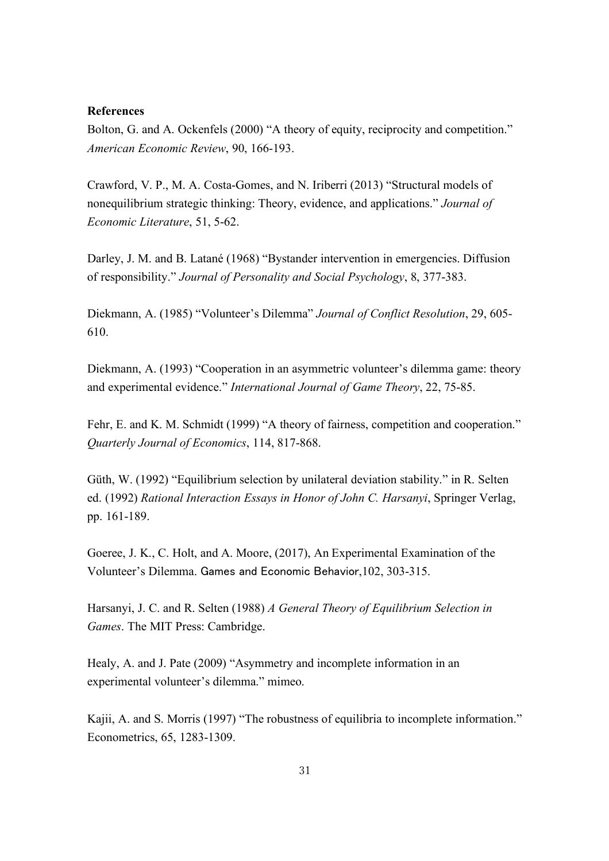#### **References**

Bolton, G. and A. Ockenfels (2000) "A theory of equity, reciprocity and competition." *American Economic Review*, 90, 166-193.

Crawford, V. P., M. A. Costa-Gomes, and N. Iriberri (2013) "Structural models of nonequilibrium strategic thinking: Theory, evidence, and applications." *Journal of Economic Literature*, 51, 5-62.

Darley, J. M. and B. Latané (1968) "Bystander intervention in emergencies. Diffusion of responsibility." *Journal of Personality and Social Psychology*, 8, 377-383.

Diekmann, A. (1985) "Volunteer's Dilemma" *Journal of Conflict Resolution*, 29, 605- 610.

Diekmann, A. (1993) "Cooperation in an asymmetric volunteer's dilemma game: theory and experimental evidence." *International Journal of Game Theory*, 22, 75-85.

Fehr, E. and K. M. Schmidt (1999) "A theory of fairness, competition and cooperation." *Quarterly Journal of Economics*, 114, 817-868.

Güth, W. (1992) "Equilibrium selection by unilateral deviation stability." in R. Selten ed. (1992) *Rational Interaction Essays in Honor of John C. Harsanyi*, Springer Verlag, pp. 161-189.

Goeree, J. K., C. Holt, and A. Moore, (2017), An Experimental Examination of the Volunteer's Dilemma. Games and Economic Behavior,102, 303-315.

Harsanyi, J. C. and R. Selten (1988) *A General Theory of Equilibrium Selection in Games*. The MIT Press: Cambridge.

Healy, A. and J. Pate (2009) "Asymmetry and incomplete information in an experimental volunteer's dilemma." mimeo.

Kajii, A. and S. Morris (1997) "The robustness of equilibria to incomplete information." Econometrics, 65, 1283-1309.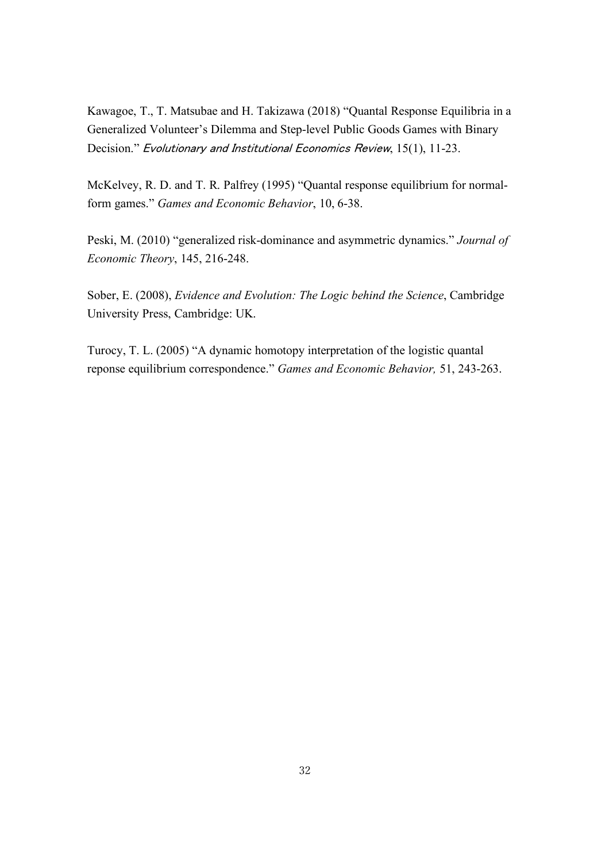Kawagoe, T., T. Matsubae and H. Takizawa (2018) "Quantal Response Equilibria in a Generalized Volunteer's Dilemma and Step-level Public Goods Games with Binary Decision." Evolutionary and Institutional Economics Review, 15(1), 11-23.

McKelvey, R. D. and T. R. Palfrey (1995) "Quantal response equilibrium for normalform games." *Games and Economic Behavior*, 10, 6-38.

Peski, M. (2010) "generalized risk-dominance and asymmetric dynamics." *Journal of Economic Theory*, 145, 216-248.

Sober, E. (2008), *Evidence and Evolution: The Logic behind the Science*, Cambridge University Press, Cambridge: UK.

Turocy, T. L. (2005) "A dynamic homotopy interpretation of the logistic quantal reponse equilibrium correspondence." *Games and Economic Behavior,* 51, 243-263.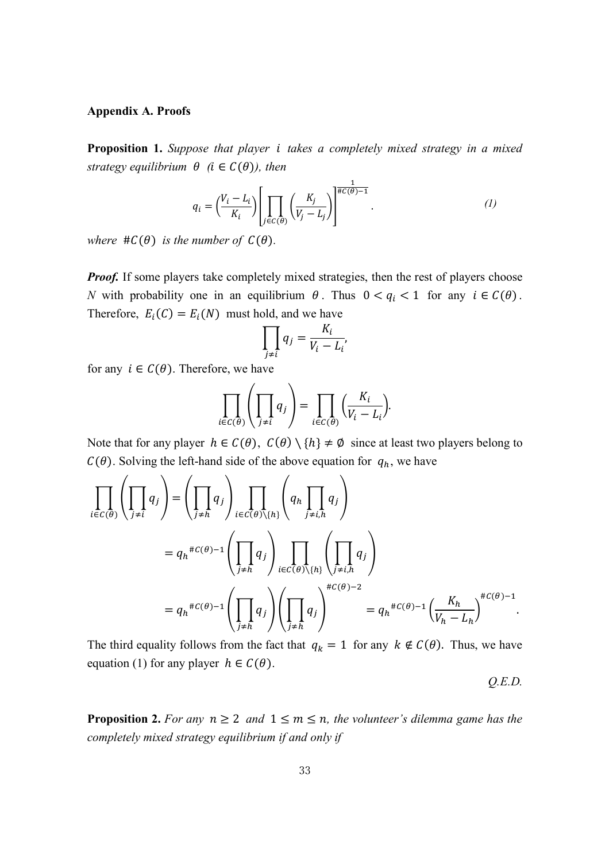#### **Appendix A. Proofs**

**Proposition 1.** *Suppose that player takes a completely mixed strategy in a mixed strategy equilibrium*  $\theta$  (*i*  $\in$   $C(\theta)$ *), then* 

$$
q_i = \left(\frac{V_i - L_i}{K_i}\right) \left[ \prod_{j \in C(\theta)} \left(\frac{K_j}{V_j - L_j}\right) \right]^{\frac{1}{\#C(\theta) - 1}}.
$$
 (1)

*where*  $\#C(\theta)$  *is the number of*  $C(\theta)$ *.* 

*Proof.* If some players take completely mixed strategies, then the rest of players choose *N* with probability one in an equilibrium  $\theta$ . Thus  $0 < q_i < 1$  for any  $i \in C(\theta)$ . Therefore,  $E_i(C) = E_i(N)$  must hold, and we have

$$
\prod_{j \neq i} q_j = \frac{K_i}{V_i - L_i'}
$$

for any  $i \in C(\theta)$ . Therefore, we have

$$
\prod_{i \in C(\theta)} \left( \prod_{j \neq i} q_j \right) = \prod_{i \in C(\theta)} \left( \frac{K_i}{V_i - L_i} \right).
$$

Note that for any player  $h \in C(\theta)$ ,  $C(\theta) \setminus \{h\} \neq \emptyset$  since at least two players belong to  $C(\theta)$ . Solving the left-hand side of the above equation for  $q_h$ , we have

$$
\prod_{i \in C(\theta)} \left( \prod_{j \neq i} q_j \right) = \left( \prod_{j \neq h} q_j \right) \prod_{i \in C(\theta) \setminus \{h\}} \left( q_h \prod_{j \neq i, h} q_j \right)
$$
\n
$$
= q_h^{\#C(\theta)-1} \left( \prod_{j \neq h} q_j \right) \prod_{i \in C(\theta) \setminus \{h\}} \left( \prod_{j \neq i, h} q_j \right)
$$
\n
$$
= q_h^{\#C(\theta)-1} \left( \prod_{j \neq h} q_j \right) \left( \prod_{j \neq h} q_j \right)^{\#C(\theta)-2} = q_h^{\#C(\theta)-1} \left( \frac{K_h}{V_h - L_h} \right)^{\#C(\theta)-1}.
$$

The third equality follows from the fact that  $q_k = 1$  for any  $k \notin C(\theta)$ . Thus, we have equation (1) for any player  $h \in C(\theta)$ .

*Q.E.D.*

**Proposition 2.** For any  $n \geq 2$  and  $1 \leq m \leq n$ , the volunteer's dilemma game has the *completely mixed strategy equilibrium if and only if*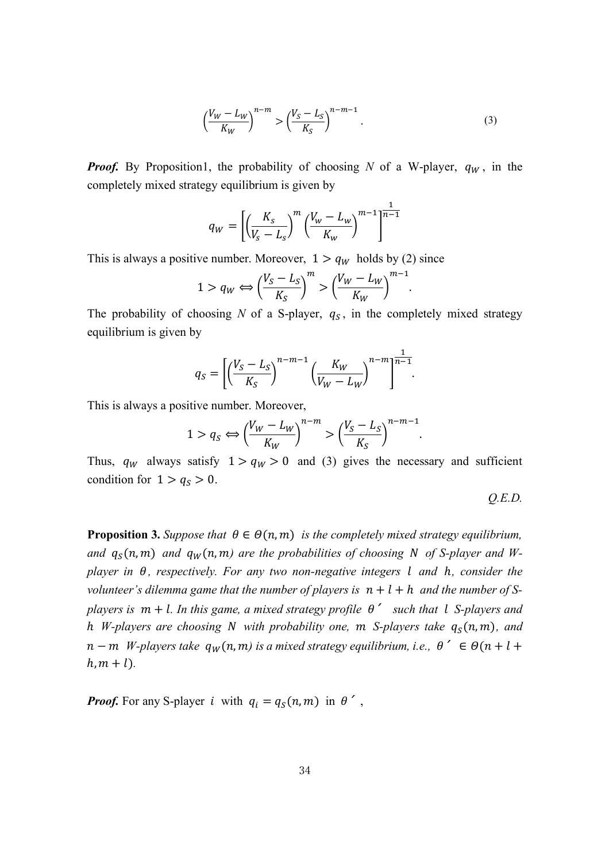$$
\left(\frac{V_W - L_W}{K_W}\right)^{n-m} > \left(\frac{V_S - L_S}{K_S}\right)^{n-m-1}.\tag{3}
$$

*Proof.* By Proposition1, the probability of choosing *N* of a W-player,  $q_W$ , in the completely mixed strategy equilibrium is given by

$$
q_{W} = \left[ \left( \frac{K_{s}}{V_{s} - L_{s}} \right)^{m} \left( \frac{V_{w} - L_{w}}{K_{w}} \right)^{m-1} \right]^{\frac{1}{n-1}}
$$

This is always a positive number. Moreover,  $1 > q_W$  holds by (2) since

$$
1 > q_W \Longleftrightarrow \left(\frac{V_S - L_S}{K_S}\right)^m > \left(\frac{V_W - L_W}{K_W}\right)^{m-1}.
$$

The probability of choosing *N* of a S-player,  $q_S$ , in the completely mixed strategy equilibrium is given by

$$
q_S = \left[ \left( \frac{V_S - L_S}{K_S} \right)^{n-m-1} \left( \frac{K_W}{V_W - L_W} \right)^{n-m} \right]^{\frac{1}{n-1}}.
$$

This is always a positive number. Moreover,

$$
1 > q_S \Leftrightarrow \left(\frac{V_W - L_W}{K_W}\right)^{n-m} > \left(\frac{V_S - L_S}{K_S}\right)^{n-m-1}.
$$

Thus,  $q_W$  always satisfy  $1 > q_W > 0$  and (3) gives the necessary and sufficient condition for  $1 > q_s > 0$ .

$$
Q.E.D.
$$

.

**Proposition 3.** Suppose that  $\theta \in \Theta(n, m)$  is the completely mixed strategy equilibrium, and  $q_s(n,m)$  and  $q_w(n,m)$  are the probabilities of choosing N of S-player and W*player in θ, respectively. For any two non-negative integers l and h, consider the volunteer's dilemma game that the number of players is*  $n + l + h$  *and the number of Splayers is*  $m + l$ . In this game, a mixed strategy profile  $\theta'$  such that l S-players and h *W*-players are choosing N with probability one,  $m$  S-players take  $q_S(n, m)$ , and  $n - m$  *W*-players take  $q_w(n, m)$  is a mixed strategy equilibrium, i.e.,  $\theta' \in \Theta(n + l + 1)$  $h, m + l$ ).

*Proof.* For any S-player *i* with  $q_i = q_s(n, m)$  in  $\theta'$ ,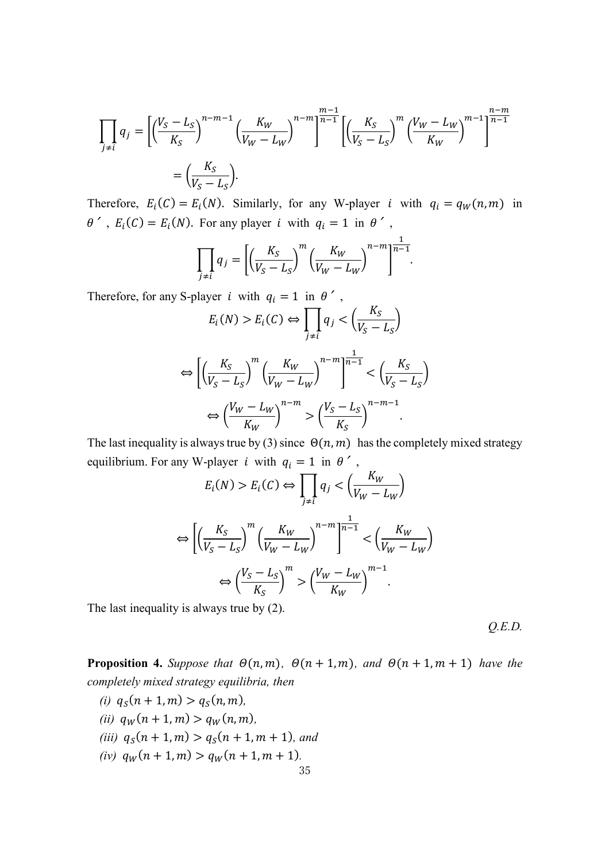$$
\prod_{j \neq i} q_j = \left[ \left( \frac{V_S - L_S}{K_S} \right)^{n-m-1} \left( \frac{K_W}{V_W - L_W} \right)^{n-m} \right]^{\frac{m-1}{n-1}} \left[ \left( \frac{K_S}{V_S - L_S} \right)^m \left( \frac{V_W - L_W}{K_W} \right)^{m-1} \right]^{\frac{n-m}{n-1}}
$$

$$
= \left( \frac{K_S}{V_S - L_S} \right).
$$

Therefore,  $E_i(C) = E_i(N)$ . Similarly, for any W-player *i* with  $q_i = q_w(n, m)$  in  $\theta'$ ,  $E_i(C) = E_i(N)$ . For any player *i* with  $q_i = 1$  in  $\theta'$ ,

$$
\prod_{j \neq i} q_j = \left[ \left( \frac{K_S}{V_S - L_S} \right)^m \left( \frac{K_W}{V_W - L_W} \right)^{n-m} \right]^{\frac{1}{n-1}}.
$$

Therefore, for any S-player *i* with  $q_i = 1$  in  $\theta'$ ,

$$
E_i(N) > E_i(C) \Leftrightarrow \prod_{j \neq i} q_j < \left(\frac{K_S}{V_S - L_S}\right)
$$
\n
$$
\Leftrightarrow \left[ \left(\frac{K_S}{V_S - L_S}\right)^m \left(\frac{K_W}{V_W - L_W}\right)^{n-m} \right]^{n-1} < \left(\frac{K_S}{V_S - L_S}\right)
$$
\n
$$
\Leftrightarrow \left(\frac{V_W - L_W}{K_W}\right)^{n-m} > \left(\frac{V_S - L_S}{K_S}\right)^{n-m-1}.
$$

The last inequality is always true by (3) since  $\Theta(n, m)$  has the completely mixed strategy equilibrium. For any W-player *i* with  $q_i = 1$  in  $\theta'$ ,

$$
E_i(N) > E_i(C) \Leftrightarrow \prod_{j \neq i} q_j < \left(\frac{K_W}{V_W - L_W}\right)
$$
\n
$$
\Leftrightarrow \left[ \left(\frac{K_S}{V_S - L_S}\right)^m \left(\frac{K_W}{V_W - L_W}\right)^{n-m} \right]^{\frac{1}{n-1}} < \left(\frac{K_W}{V_W - L_W}\right)
$$
\n
$$
\Leftrightarrow \left(\frac{V_S - L_S}{K_S}\right)^m > \left(\frac{V_W - L_W}{K_W}\right)^{m-1}.
$$

The last inequality is always true by (2).

*Q.E.D.*

**Proposition 4.** Suppose that  $\Theta(n, m)$ ,  $\Theta(n + 1, m)$ , and  $\Theta(n + 1, m + 1)$  have the *completely mixed strategy equilibria, then* 

*(i)*  $q_S(n + 1, m) > q_S(n, m)$ , *(ii)*  $q_W(n + 1, m) > q_W(n, m),$ *(iii)*  $q_S(n + 1, m) > q_S(n + 1, m + 1)$ *, and (iv)*  $q_W(n + 1, m) > q_W(n + 1, m + 1)$ .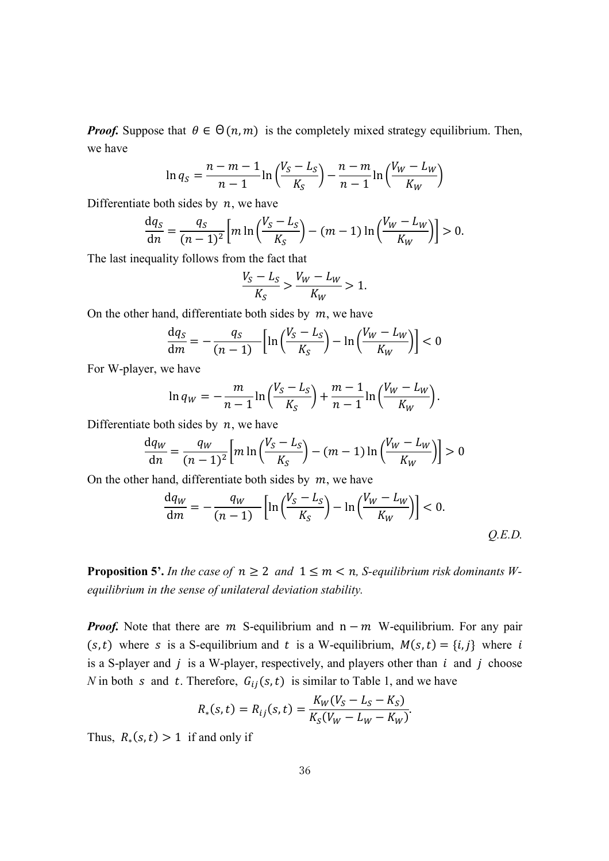*Proof.* Suppose that  $\theta \in \Theta(n, m)$  is the completely mixed strategy equilibrium. Then, we have

$$
\ln q_S = \frac{n - m - 1}{n - 1} \ln \left( \frac{V_S - L_S}{K_S} \right) - \frac{n - m}{n - 1} \ln \left( \frac{V_W - L_W}{K_W} \right)
$$

Differentiate both sides by  $n$ , we have

$$
\frac{dq_S}{dn} = \frac{q_S}{(n-1)^2} \left[ m \ln \left( \frac{V_S - L_S}{K_S} \right) - (m-1) \ln \left( \frac{V_W - L_W}{K_W} \right) \right] > 0.
$$

The last inequality follows from the fact that

$$
\frac{V_S - L_S}{K_S} > \frac{V_W - L_W}{K_W} > 1.
$$

On the other hand, differentiate both sides by  $m$ , we have

$$
\frac{\mathrm{d}q_S}{\mathrm{d}m} = -\frac{q_S}{(n-1)} \left[ \ln \left( \frac{V_S - L_S}{K_S} \right) - \ln \left( \frac{V_W - L_W}{K_W} \right) \right] < 0
$$

For W-player, we have

$$
\ln q_W = -\frac{m}{n-1} \ln \left( \frac{V_S - L_S}{K_S} \right) + \frac{m-1}{n-1} \ln \left( \frac{V_W - L_W}{K_W} \right).
$$

Differentiate both sides by  $n$ , we have

$$
\frac{\mathrm{d}q_W}{\mathrm{d}n} = \frac{q_W}{(n-1)^2} \Big[ m \ln \Big( \frac{V_S - L_S}{K_S} \Big) - (m-1) \ln \Big( \frac{V_W - L_W}{K_W} \Big) \Big] > 0
$$

On the other hand, differentiate both sides by  $m$ , we have

$$
\frac{dq_W}{dm} = -\frac{q_W}{(n-1)} \left[ \ln \left( \frac{V_S - L_S}{K_S} \right) - \ln \left( \frac{V_W - L_W}{K_W} \right) \right] < 0. \tag{Q.E.D.}
$$

**Proposition 5'.** In the case of  $n \geq 2$  and  $1 \leq m < n$ , S-equilibrium risk dominants W*equilibrium in the sense of unilateral deviation stability.*

*Proof.* Note that there are  $m$  S-equilibrium and  $n - m$  W-equilibrium. For any pair  $(s,t)$  where s is a S-equilibrium and t is a W-equilibrium,  $M(s,t) = \{i,j\}$  where i is a S-player and  $j$  is a W-player, respectively, and players other than  $i$  and  $j$  choose *N* in both *s* and *t*. Therefore,  $G_{ij}(s,t)$  is similar to Table 1, and we have

$$
R_*(s,t) = R_{ij}(s,t) = \frac{K_W(V_S - L_S - K_S)}{K_S(V_W - L_W - K_W)}.
$$

Thus,  $R_*(s,t) > 1$  if and only if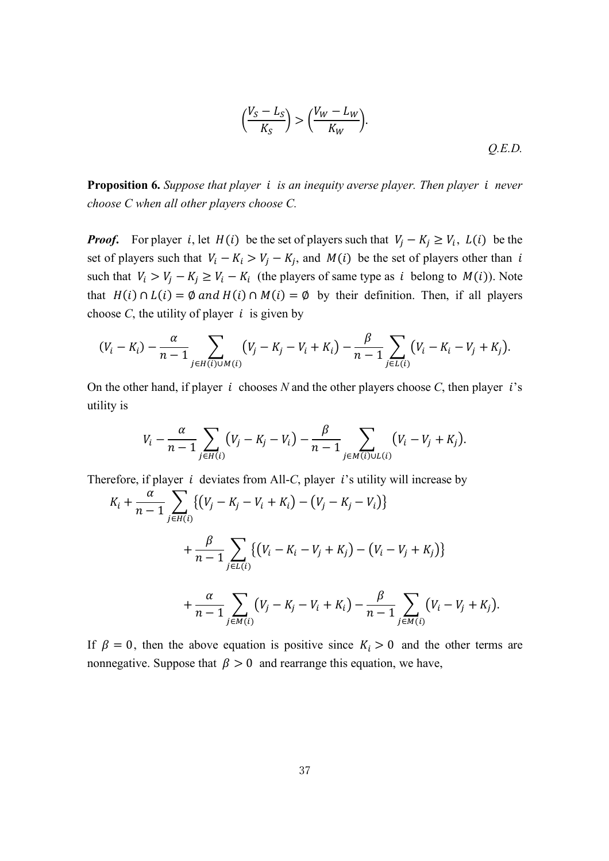$$
\left(\frac{V_S - L_S}{K_S}\right) > \left(\frac{V_W - L_W}{K_W}\right). \tag{Q.E.D.}
$$

**Proposition 6.** *Suppose that player is an inequity averse player. Then player never choose C when all other players choose C.*

*Proof.* For player *i*, let  $H(i)$  be the set of players such that  $V_i - K_i \ge V_i$ ,  $L(i)$  be the set of players such that  $V_i - K_i > V_j - K_j$ , and  $M(i)$  be the set of players other than i such that  $V_i > V_j - K_j \ge V_i - K_i$  (the players of same type as *i* belong to  $M(i)$ ). Note that  $H(i) \cap L(i) = \emptyset$  and  $H(i) \cap M(i) = \emptyset$  by their definition. Then, if all players choose  $C$ , the utility of player  $i$  is given by

$$
(V_i - K_i) - \frac{\alpha}{n-1} \sum_{j \in H(i) \cup M(i)} (V_j - K_j - V_i + K_i) - \frac{\beta}{n-1} \sum_{j \in L(i)} (V_i - K_i - V_j + K_j).
$$

On the other hand, if player  $i$  chooses  $N$  and the other players choose  $C$ , then player  $i$ 's utility is

$$
V_i - \frac{\alpha}{n-1} \sum_{j \in H(i)} (V_j - K_j - V_i) - \frac{\beta}{n-1} \sum_{j \in M(i) \cup L(i)} (V_i - V_j + K_j).
$$

Therefore, if player  $i$  deviates from All-*C*, player  $i$ 's utility will increase by

$$
K_{i} + \frac{\alpha}{n-1} \sum_{j \in H(i)} \{ (V_{j} - K_{j} - V_{i} + K_{i}) - (V_{j} - K_{j} - V_{i}) \}
$$
  
+ 
$$
\frac{\beta}{n-1} \sum_{j \in L(i)} \{ (V_{i} - K_{i} - V_{j} + K_{j}) - (V_{i} - V_{j} + K_{j}) \}
$$
  
+ 
$$
\frac{\alpha}{n-1} \sum_{j \in M(i)} (V_{j} - K_{j} - V_{i} + K_{i}) - \frac{\beta}{n-1} \sum_{j \in M(i)} (V_{i} - V_{j} + K_{j}).
$$

If  $\beta = 0$ , then the above equation is positive since  $K_i > 0$  and the other terms are nonnegative. Suppose that  $\beta > 0$  and rearrange this equation, we have,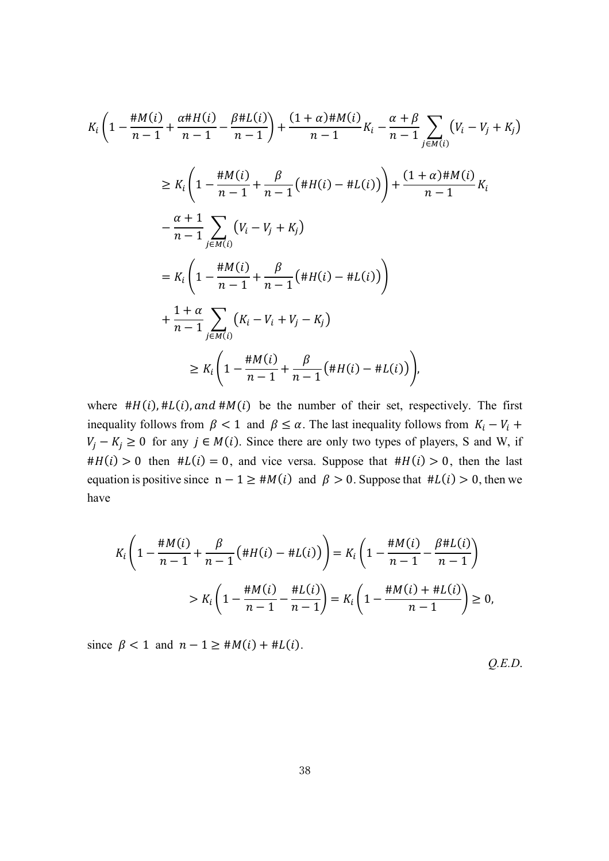$$
K_{i}\left(1-\frac{\#M(i)}{n-1}+\frac{\alpha\#H(i)}{n-1}-\frac{\beta\#L(i)}{n-1}\right)+\frac{(1+\alpha)\#M(i)}{n-1}K_{i}-\frac{\alpha+\beta}{n-1}\sum_{j\in M(i)}\left(V_{i}-V_{j}+K_{j}\right)
$$
  
\n
$$
\geq K_{i}\left(1-\frac{\#M(i)}{n-1}+\frac{\beta}{n-1}\left(\#H(i)-\#L(i)\right)\right)+\frac{(1+\alpha)\#M(i)}{n-1}K_{i}
$$
  
\n
$$
-\frac{\alpha+1}{n-1}\sum_{j\in M(i)}\left(V_{i}-V_{j}+K_{j}\right)
$$
  
\n
$$
=K_{i}\left(1-\frac{\#M(i)}{n-1}+\frac{\beta}{n-1}\left(\#H(i)-\#L(i)\right)\right)
$$
  
\n
$$
+\frac{1+\alpha}{n-1}\sum_{j\in M(i)}\left(K_{i}-V_{i}+V_{j}-K_{j}\right)
$$
  
\n
$$
\geq K_{i}\left(1-\frac{\#M(i)}{n-1}+\frac{\beta}{n-1}\left(\#H(i)-\#L(i)\right)\right),
$$

where  $#H(i), #L(i), and #M(i)$  be the number of their set, respectively. The first inequality follows from  $\beta$  < 1 and  $\beta \leq \alpha$ . The last inequality follows from  $K_i - V_i$  +  $V_j - K_j \ge 0$  for any  $j \in M(i)$ . Since there are only two types of players, S and W, if  $#H(i) > 0$  then  $#L(i) = 0$ , and vice versa. Suppose that  $#H(i) > 0$ , then the last equation is positive since  $n - 1 \geq #M(i)$  and  $\beta > 0$ . Suppose that  $#L(i) > 0$ , then we have

$$
K_i\left(1 - \frac{\#M(i)}{n-1} + \frac{\beta}{n-1}\left(\#H(i) - \#L(i)\right)\right) = K_i\left(1 - \frac{\#M(i)}{n-1} - \frac{\beta\#L(i)}{n-1}\right)
$$
  
> 
$$
K_i\left(1 - \frac{\#M(i)}{n-1} - \frac{\#L(i)}{n-1}\right) = K_i\left(1 - \frac{\#M(i) + \#L(i)}{n-1}\right) \ge 0,
$$

since  $\beta < 1$  and  $n - 1 \geq \text{#M}(i) + \text{#L}(i)$ .

*Q.E.D*.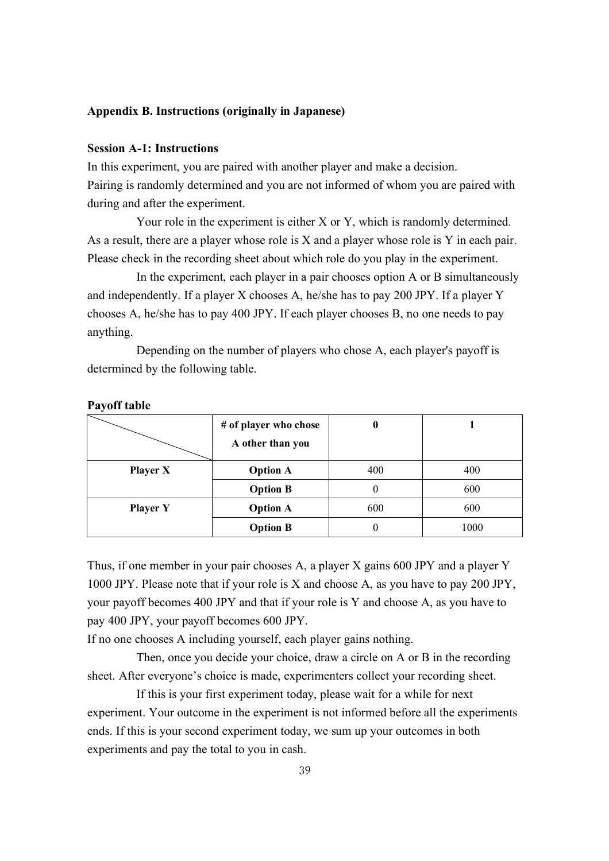#### **Appendix B. Instructions (originally in Japanese)**

## **Session A-1: Instructions**

In this experiment, you are paired with another player and make a decision. Pairing is randomly determined and you are not informed of whom you are paired with during and after the experiment.

Your role in the experiment is either X or Y, which is randomly determined. As a result, there are a player whose role is X and a player whose role is Y in each pair. Please check in the recording sheet about which role do you play in the experiment.

In the experiment, each player in a pair chooses option A or B simultaneously and independently. If a player X chooses A, he/she has to pay 200 JPY. If a player Y chooses A, he/she has to pay 400 JPY. If each player chooses B, no one needs to pay anything.

Depending on the number of players who chose A, each player's payoff is determined by the following table.

|                 | # of player who chose<br>A other than you | O        |      |
|-----------------|-------------------------------------------|----------|------|
| <b>Player X</b> | <b>Option A</b>                           | 400      | 400  |
|                 | <b>Option B</b>                           | $^{(1)}$ | 600  |
| <b>Player Y</b> | <b>Option A</b>                           | 600      | 600  |
|                 | <b>Option B</b>                           |          | 1000 |

#### **Payoff table**

Thus, if one member in your pair chooses A, a player X gains 600 JPY and a player Y 1000 JPY. Please note that if your role is X and choose A, as you have to pay 200 JPY, your payoff becomes 400 JPY and that if your role is Y and choose A, as you have to pay 400 JPY, your payoff becomes 600 JPY.

If no one chooses A including yourself, each player gains nothing.

Then, once you decide your choice, draw a circle on A or B in the recording sheet. After everyone's choice is made, experimenters collect your recording sheet.

If this is your first experiment today, please wait for a while for next experiment. Your outcome in the experiment is not informed before all the experiments ends. If this is your second experiment today, we sum up your outcomes in both experiments and pay the total to you in cash.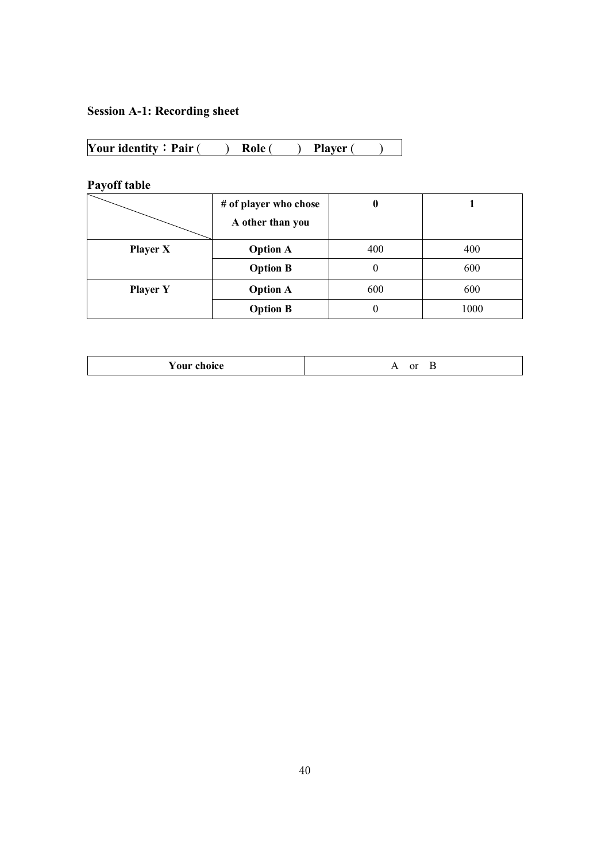# **Session A-1: Recording sheet**

| Your identity: $Pair($ | Role ( | <b>Player</b> |  |
|------------------------|--------|---------------|--|
|------------------------|--------|---------------|--|

**Payoff table**

|                 | # of player who chose |     |      |
|-----------------|-----------------------|-----|------|
|                 | A other than you      |     |      |
| <b>Player X</b> | <b>Option A</b>       | 400 | 400  |
|                 | <b>Option B</b>       | 0   | 600  |
| <b>Player Y</b> | <b>Option A</b>       | 600 | 600  |
|                 | <b>Option B</b>       | 0   | 1000 |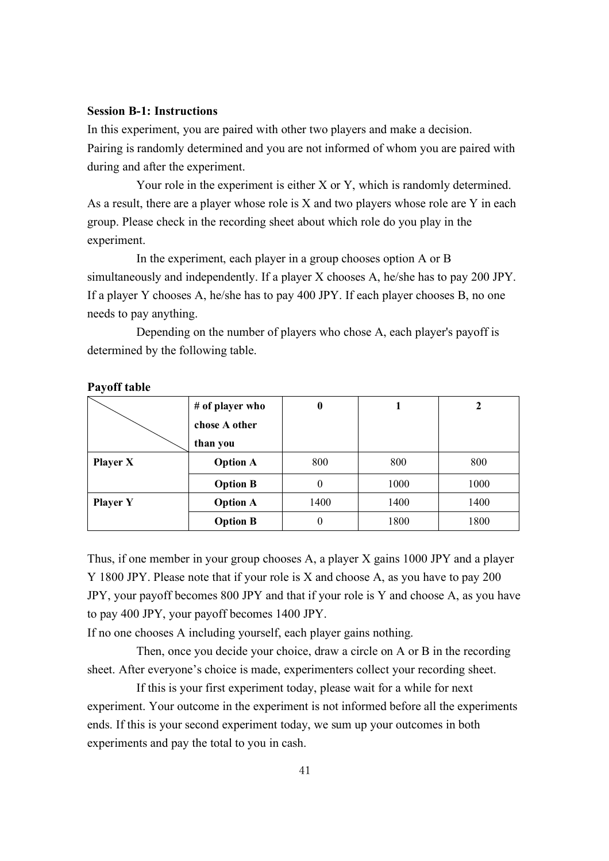#### **Session B-1: Instructions**

In this experiment, you are paired with other two players and make a decision. Pairing is randomly determined and you are not informed of whom you are paired with during and after the experiment.

Your role in the experiment is either X or Y, which is randomly determined. As a result, there are a player whose role is X and two players whose role are Y in each group. Please check in the recording sheet about which role do you play in the experiment.

In the experiment, each player in a group chooses option A or B simultaneously and independently. If a player X chooses A, he/she has to pay 200 JPY. If a player Y chooses A, he/she has to pay 400 JPY. If each player chooses B, no one needs to pay anything.

Depending on the number of players who chose A, each player's payoff is determined by the following table.

|                 | # of player who | 0    |      |      |
|-----------------|-----------------|------|------|------|
|                 | chose A other   |      |      |      |
|                 | than you        |      |      |      |
| <b>Player X</b> | <b>Option A</b> | 800  | 800  | 800  |
|                 | <b>Option B</b> | 0    | 1000 | 1000 |
| <b>Player Y</b> | <b>Option A</b> | 1400 | 1400 | 1400 |
|                 | <b>Option B</b> | 0    | 1800 | 1800 |

#### **Payoff table**

Thus, if one member in your group chooses A, a player X gains 1000 JPY and a player Y 1800 JPY. Please note that if your role is X and choose A, as you have to pay 200 JPY, your payoff becomes 800 JPY and that if your role is Y and choose A, as you have to pay 400 JPY, your payoff becomes 1400 JPY.

If no one chooses A including yourself, each player gains nothing.

Then, once you decide your choice, draw a circle on A or B in the recording sheet. After everyone's choice is made, experimenters collect your recording sheet.

If this is your first experiment today, please wait for a while for next experiment. Your outcome in the experiment is not informed before all the experiments ends. If this is your second experiment today, we sum up your outcomes in both experiments and pay the total to you in cash.